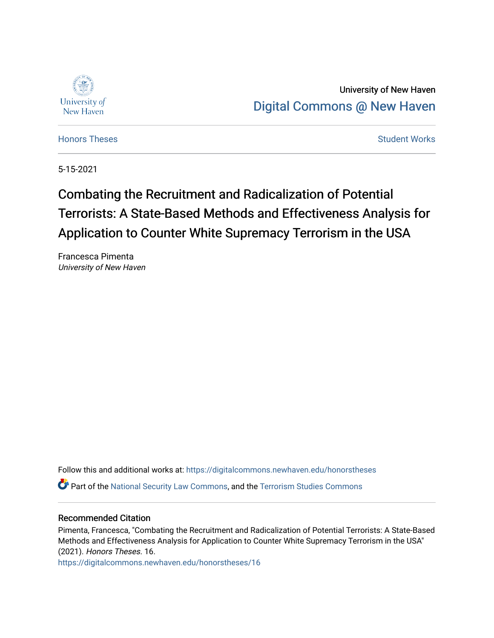

# University of New Haven [Digital Commons @ New Haven](https://digitalcommons.newhaven.edu/)

[Honors Theses](https://digitalcommons.newhaven.edu/honorstheses) **Student Works** [Student Works](https://digitalcommons.newhaven.edu/studentworks) **Student Works** 

5-15-2021

# Combating the Recruitment and Radicalization of Potential Terrorists: A State-Based Methods and Effectiveness Analysis for Application to Counter White Supremacy Terrorism in the USA

Francesca Pimenta University of New Haven

Follow this and additional works at: [https://digitalcommons.newhaven.edu/honorstheses](https://digitalcommons.newhaven.edu/honorstheses?utm_source=digitalcommons.newhaven.edu%2Fhonorstheses%2F16&utm_medium=PDF&utm_campaign=PDFCoverPages) 

**C** Part of the [National Security Law Commons](http://network.bepress.com/hgg/discipline/1114?utm_source=digitalcommons.newhaven.edu%2Fhonorstheses%2F16&utm_medium=PDF&utm_campaign=PDFCoverPages), and the [Terrorism Studies Commons](http://network.bepress.com/hgg/discipline/1389?utm_source=digitalcommons.newhaven.edu%2Fhonorstheses%2F16&utm_medium=PDF&utm_campaign=PDFCoverPages)

# Recommended Citation

Pimenta, Francesca, "Combating the Recruitment and Radicalization of Potential Terrorists: A State-Based Methods and Effectiveness Analysis for Application to Counter White Supremacy Terrorism in the USA" (2021). Honors Theses. 16.

[https://digitalcommons.newhaven.edu/honorstheses/16](https://digitalcommons.newhaven.edu/honorstheses/16?utm_source=digitalcommons.newhaven.edu%2Fhonorstheses%2F16&utm_medium=PDF&utm_campaign=PDFCoverPages)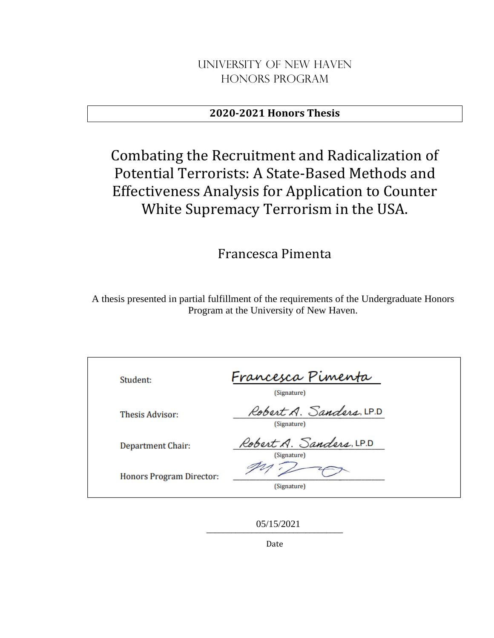# University of New Haven Honors Program

# **2020-2021 Honors Thesis**

# Combating the Recruitment and Radicalization of Potential Terrorists: A State-Based Methods and Effectiveness Analysis for Application to Counter White Supremacy Terrorism in the USA.

# Francesca Pimenta

A thesis presented in partial fulfillment of the requirements of the Undergraduate Honors Program at the University of New Haven.

| Student:                        | Francesca Pimenta<br>(Signature)       |
|---------------------------------|----------------------------------------|
| <b>Thesis Advisor:</b>          | Robert A. Sanders, LP.D<br>(Signature) |
| Department Chair:               | Robert A. Sanders, LP.D<br>(Signature) |
| <b>Honors Program Director:</b> | (Signature)                            |

\_\_\_\_\_\_\_\_\_\_\_\_\_\_\_\_\_\_\_\_\_\_\_\_\_\_\_\_\_\_\_\_\_ 05/15/2021

Date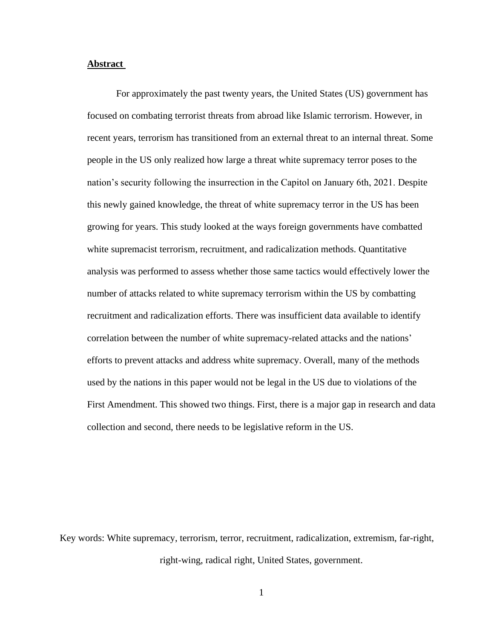# **Abstract**

For approximately the past twenty years, the United States (US) government has focused on combating terrorist threats from abroad like Islamic terrorism. However, in recent years, terrorism has transitioned from an external threat to an internal threat. Some people in the US only realized how large a threat white supremacy terror poses to the nation's security following the insurrection in the Capitol on January 6th, 2021. Despite this newly gained knowledge, the threat of white supremacy terror in the US has been growing for years. This study looked at the ways foreign governments have combatted white supremacist terrorism, recruitment, and radicalization methods. Quantitative analysis was performed to assess whether those same tactics would effectively lower the number of attacks related to white supremacy terrorism within the US by combatting recruitment and radicalization efforts. There was insufficient data available to identify correlation between the number of white supremacy-related attacks and the nations' efforts to prevent attacks and address white supremacy. Overall, many of the methods used by the nations in this paper would not be legal in the US due to violations of the First Amendment. This showed two things. First, there is a major gap in research and data collection and second, there needs to be legislative reform in the US.

Key words: White supremacy, terrorism, terror, recruitment, radicalization, extremism, far-right, right-wing, radical right, United States, government.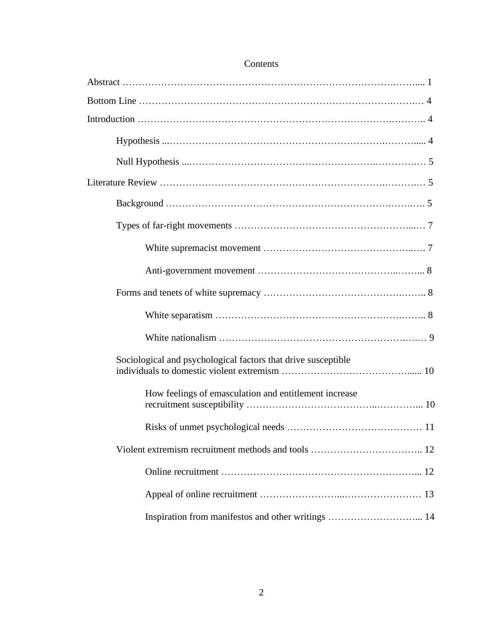| Sociological and psychological factors that drive susceptible |  |
|---------------------------------------------------------------|--|
| How feelings of emasculation and entitlement increase         |  |
|                                                               |  |
|                                                               |  |
|                                                               |  |
|                                                               |  |
| Inspiration from manifestos and other writings  14            |  |

# Contents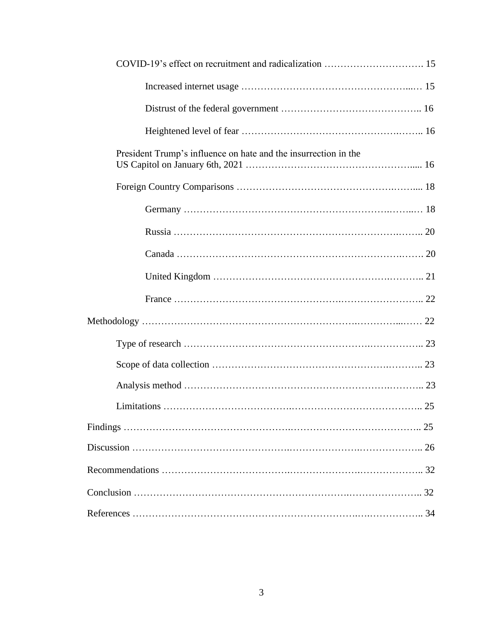| President Trump's influence on hate and the insurrection in the |  |
|-----------------------------------------------------------------|--|
|                                                                 |  |
|                                                                 |  |
|                                                                 |  |
|                                                                 |  |
|                                                                 |  |
|                                                                 |  |
|                                                                 |  |
|                                                                 |  |
|                                                                 |  |
|                                                                 |  |
|                                                                 |  |
|                                                                 |  |
|                                                                 |  |
|                                                                 |  |
|                                                                 |  |
|                                                                 |  |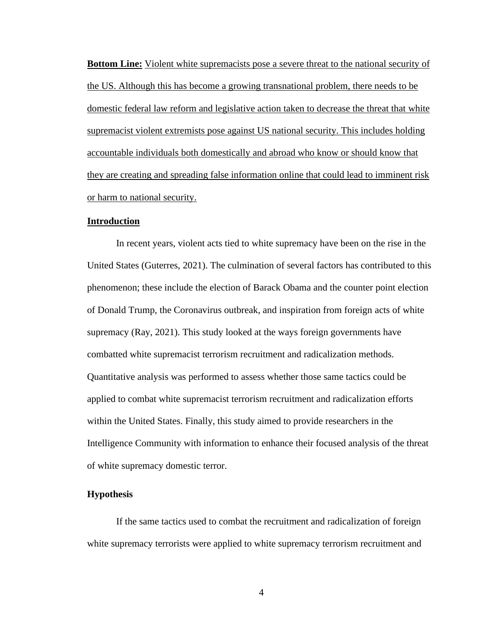**Bottom Line:** Violent white supremacists pose a severe threat to the national security of the US. Although this has become a growing transnational problem, there needs to be domestic federal law reform and legislative action taken to decrease the threat that white supremacist violent extremists pose against US national security. This includes holding accountable individuals both domestically and abroad who know or should know that they are creating and spreading false information online that could lead to imminent risk or harm to national security.

## **Introduction**

In recent years, violent acts tied to white supremacy have been on the rise in the United States (Guterres, 2021). The culmination of several factors has contributed to this phenomenon; these include the election of Barack Obama and the counter point election of Donald Trump, the Coronavirus outbreak, and inspiration from foreign acts of white supremacy (Ray, 2021). This study looked at the ways foreign governments have combatted white supremacist terrorism recruitment and radicalization methods. Quantitative analysis was performed to assess whether those same tactics could be applied to combat white supremacist terrorism recruitment and radicalization efforts within the United States. Finally, this study aimed to provide researchers in the Intelligence Community with information to enhance their focused analysis of the threat of white supremacy domestic terror.

# **Hypothesis**

If the same tactics used to combat the recruitment and radicalization of foreign white supremacy terrorists were applied to white supremacy terrorism recruitment and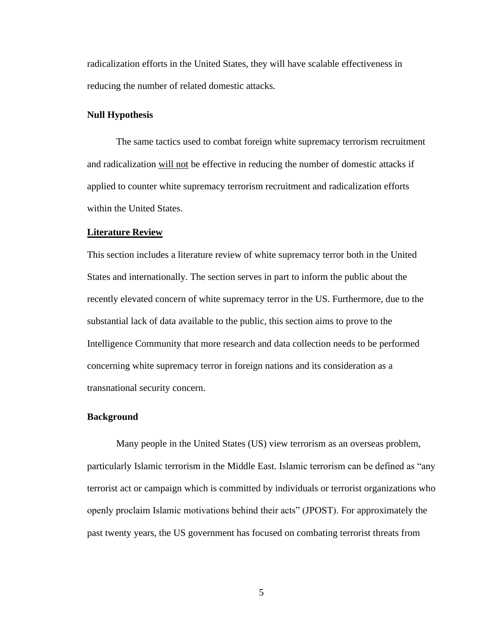radicalization efforts in the United States, they will have scalable effectiveness in reducing the number of related domestic attacks.

#### **Null Hypothesis**

The same tactics used to combat foreign white supremacy terrorism recruitment and radicalization will not be effective in reducing the number of domestic attacks if applied to counter white supremacy terrorism recruitment and radicalization efforts within the United States.

#### **Literature Review**

This section includes a literature review of white supremacy terror both in the United States and internationally. The section serves in part to inform the public about the recently elevated concern of white supremacy terror in the US. Furthermore, due to the substantial lack of data available to the public, this section aims to prove to the Intelligence Community that more research and data collection needs to be performed concerning white supremacy terror in foreign nations and its consideration as a transnational security concern.

#### **Background**

Many people in the United States (US) view terrorism as an overseas problem, particularly Islamic terrorism in the Middle East. Islamic terrorism can be defined as "any terrorist act or campaign which is committed by individuals or terrorist organizations who openly proclaim Islamic motivations behind their acts" (JPOST). For approximately the past twenty years, the US government has focused on combating terrorist threats from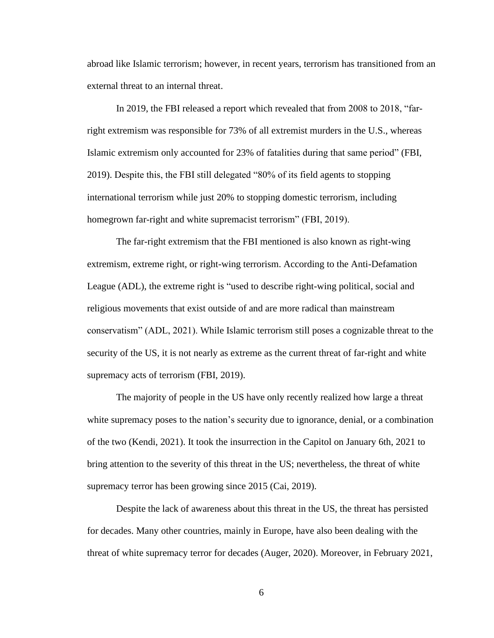abroad like Islamic terrorism; however, in recent years, terrorism has transitioned from an external threat to an internal threat.

In 2019, the FBI released a report which revealed that from 2008 to 2018, "farright extremism was responsible for 73% of all extremist murders in the U.S., whereas Islamic extremism only accounted for 23% of fatalities during that same period" (FBI, 2019). Despite this, the FBI still delegated "80% of its field agents to stopping international terrorism while just 20% to stopping domestic terrorism, including homegrown far-right and white supremacist terrorism" (FBI, 2019).

The far-right extremism that the FBI mentioned is also known as right-wing extremism, extreme right, or right-wing terrorism. According to the Anti-Defamation League (ADL), the extreme right is "used to describe right-wing political, social and religious movements that exist outside of and are more radical than mainstream conservatism" (ADL, 2021). While Islamic terrorism still poses a cognizable threat to the security of the US, it is not nearly as extreme as the current threat of far-right and white supremacy acts of terrorism (FBI, 2019).

The majority of people in the US have only recently realized how large a threat white supremacy poses to the nation's security due to ignorance, denial, or a combination of the two (Kendi, 2021). It took the insurrection in the Capitol on January 6th, 2021 to bring attention to the severity of this threat in the US; nevertheless, the threat of white supremacy terror has been growing since 2015 (Cai, 2019).

Despite the lack of awareness about this threat in the US, the threat has persisted for decades. Many other countries, mainly in Europe, have also been dealing with the threat of white supremacy terror for decades (Auger, 2020). Moreover, in February 2021,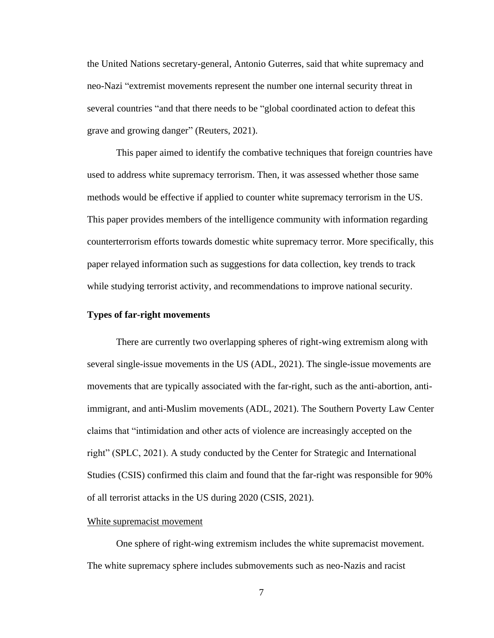the United Nations secretary-general, Antonio Guterres, said that white supremacy and neo-Nazi "extremist movements represent the number one internal security threat in several countries "and that there needs to be "global coordinated action to defeat this grave and growing danger" (Reuters, 2021).

This paper aimed to identify the combative techniques that foreign countries have used to address white supremacy terrorism. Then, it was assessed whether those same methods would be effective if applied to counter white supremacy terrorism in the US. This paper provides members of the intelligence community with information regarding counterterrorism efforts towards domestic white supremacy terror. More specifically, this paper relayed information such as suggestions for data collection, key trends to track while studying terrorist activity, and recommendations to improve national security.

#### **Types of far-right movements**

There are currently two overlapping spheres of right-wing extremism along with several single-issue movements in the US (ADL, 2021). The single-issue movements are movements that are typically associated with the far-right, such as the anti-abortion, antiimmigrant, and anti-Muslim movements (ADL, 2021). The Southern Poverty Law Center claims that "intimidation and other acts of violence are increasingly accepted on the right" (SPLC, 2021). A study conducted by the Center for Strategic and International Studies (CSIS) confirmed this claim and found that the far-right was responsible for 90% of all terrorist attacks in the US during 2020 (CSIS, 2021).

#### White supremacist movement

One sphere of right-wing extremism includes the white supremacist movement. The white supremacy sphere includes submovements such as neo-Nazis and racist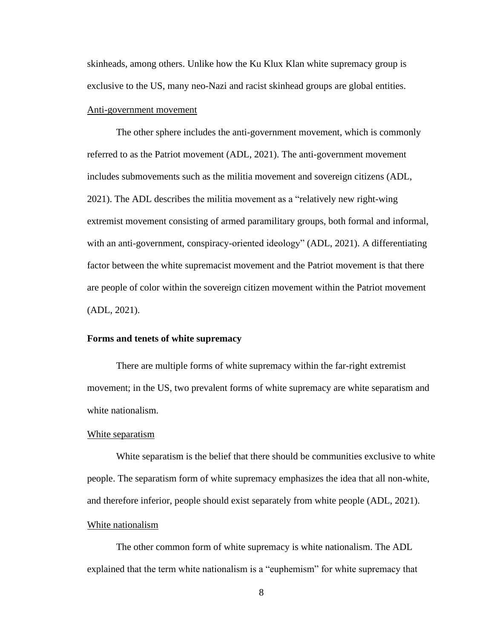skinheads, among others. Unlike how the Ku Klux Klan white supremacy group is exclusive to the US, many neo-Nazi and racist skinhead groups are global entities.

#### Anti-government movement

The other sphere includes the anti-government movement, which is commonly referred to as the Patriot movement (ADL, 2021). The anti-government movement includes submovements such as the militia movement and sovereign citizens (ADL, 2021). The ADL describes the militia movement as a "relatively new right-wing extremist movement consisting of armed paramilitary groups, both formal and informal, with an anti-government, conspiracy-oriented ideology" (ADL, 2021). A differentiating factor between the white supremacist movement and the Patriot movement is that there are people of color within the sovereign citizen movement within the Patriot movement (ADL, 2021).

# **Forms and tenets of white supremacy**

There are multiple forms of white supremacy within the far-right extremist movement; in the US, two prevalent forms of white supremacy are white separatism and white nationalism.

#### White separatism

White separatism is the belief that there should be communities exclusive to white people. The separatism form of white supremacy emphasizes the idea that all non-white, and therefore inferior, people should exist separately from white people (ADL, 2021).

#### White nationalism

The other common form of white supremacy is white nationalism. The ADL explained that the term white nationalism is a "euphemism" for white supremacy that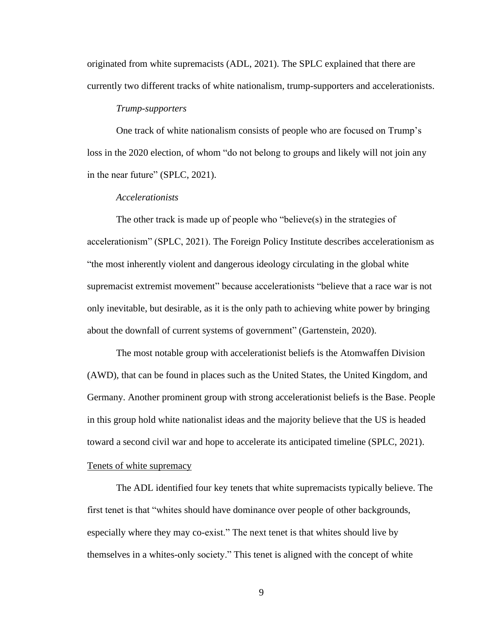originated from white supremacists (ADL, 2021). The SPLC explained that there are currently two different tracks of white nationalism, trump-supporters and accelerationists.

#### *Trump-supporters*

One track of white nationalism consists of people who are focused on Trump's loss in the 2020 election, of whom "do not belong to groups and likely will not join any in the near future" (SPLC, 2021).

## *Accelerationists*

The other track is made up of people who "believe(s) in the strategies of accelerationism" (SPLC, 2021). The Foreign Policy Institute describes accelerationism as "the most inherently violent and dangerous ideology circulating in the global white supremacist extremist movement" because accelerationists "believe that a race war is not only inevitable, but desirable, as it is the only path to achieving white power by bringing about the downfall of current systems of government" (Gartenstein, 2020).

The most notable group with accelerationist beliefs is the Atomwaffen Division (AWD), that can be found in places such as the United States, the United Kingdom, and Germany. Another prominent group with strong accelerationist beliefs is the Base. People in this group hold white nationalist ideas and the majority believe that the US is headed toward a second civil war and hope to accelerate its anticipated timeline (SPLC, 2021).

# Tenets of white supremacy

The ADL identified four key tenets that white supremacists typically believe. The first tenet is that "whites should have dominance over people of other backgrounds, especially where they may co-exist." The next tenet is that whites should live by themselves in a whites-only society." This tenet is aligned with the concept of white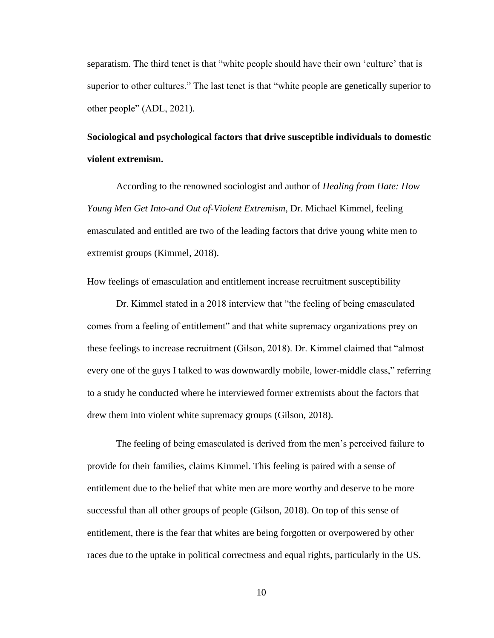separatism. The third tenet is that "white people should have their own 'culture' that is superior to other cultures." The last tenet is that "white people are genetically superior to other people" (ADL, 2021).

# **Sociological and psychological factors that drive susceptible individuals to domestic violent extremism.**

According to the renowned sociologist and author of *Healing from Hate: How Young Men Get Into-and Out of-Violent Extremism,* Dr. Michael Kimmel, feeling emasculated and entitled are two of the leading factors that drive young white men to extremist groups (Kimmel, 2018).

# How feelings of emasculation and entitlement increase recruitment susceptibility

Dr. Kimmel stated in a 2018 interview that "the feeling of being emasculated comes from a feeling of entitlement" and that white supremacy organizations prey on these feelings to increase recruitment (Gilson, 2018). Dr. Kimmel claimed that "almost every one of the guys I talked to was downwardly mobile, lower-middle class," referring to a study he conducted where he interviewed former extremists about the factors that drew them into violent white supremacy groups (Gilson, 2018).

The feeling of being emasculated is derived from the men's perceived failure to provide for their families, claims Kimmel. This feeling is paired with a sense of entitlement due to the belief that white men are more worthy and deserve to be more successful than all other groups of people (Gilson, 2018). On top of this sense of entitlement, there is the fear that whites are being forgotten or overpowered by other races due to the uptake in political correctness and equal rights, particularly in the US.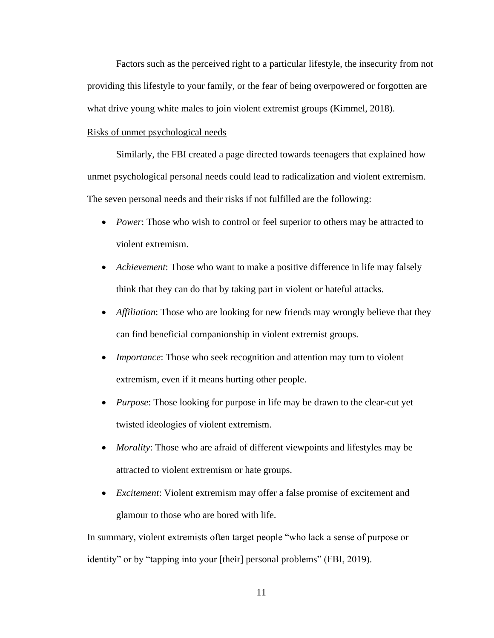Factors such as the perceived right to a particular lifestyle, the insecurity from not providing this lifestyle to your family, or the fear of being overpowered or forgotten are what drive young white males to join violent extremist groups (Kimmel, 2018).

## Risks of unmet psychological needs

Similarly, the FBI created a page directed towards teenagers that explained how unmet psychological personal needs could lead to radicalization and violent extremism. The seven personal needs and their risks if not fulfilled are the following:

- *Power*: Those who wish to control or feel superior to others may be attracted to violent extremism.
- *Achievement*: Those who want to make a positive difference in life may falsely think that they can do that by taking part in violent or hateful attacks.
- *Affiliation*: Those who are looking for new friends may wrongly believe that they can find beneficial companionship in violent extremist groups.
- *Importance*: Those who seek recognition and attention may turn to violent extremism, even if it means hurting other people.
- *Purpose*: Those looking for purpose in life may be drawn to the clear-cut yet twisted ideologies of violent extremism.
- *Morality*: Those who are afraid of different viewpoints and lifestyles may be attracted to violent extremism or hate groups.
- *Excitement*: Violent extremism may offer a false promise of excitement and glamour to those who are bored with life.

In summary, violent extremists often target people "who lack a sense of purpose or identity" or by "tapping into your [their] personal problems" (FBI, 2019).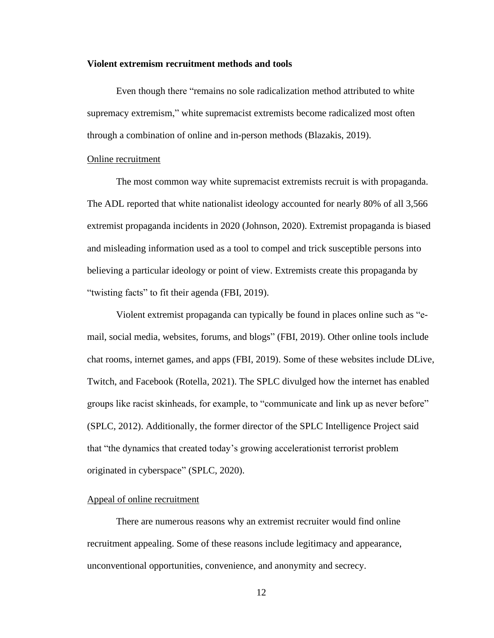#### **Violent extremism recruitment methods and tools**

Even though there "remains no sole radicalization method attributed to white supremacy extremism," white supremacist extremists become radicalized most often through a combination of online and in-person methods (Blazakis, 2019).

## Online recruitment

The most common way white supremacist extremists recruit is with propaganda. The ADL reported that white nationalist ideology accounted for nearly 80% of all 3,566 extremist propaganda incidents in 2020 (Johnson, 2020). Extremist propaganda is biased and misleading information used as a tool to compel and trick susceptible persons into believing a particular ideology or point of view. Extremists create this propaganda by "twisting facts" to fit their agenda (FBI, 2019).

Violent extremist propaganda can typically be found in places online such as "email, social media, websites, forums, and blogs" (FBI, 2019). Other online tools include chat rooms, internet games, and apps (FBI, 2019). Some of these websites include DLive, Twitch, and Facebook (Rotella, 2021). The SPLC divulged how the internet has enabled groups like racist skinheads, for example, to "communicate and link up as never before" (SPLC, 2012). Additionally, the former director of the SPLC Intelligence Project said that "the dynamics that created today's growing accelerationist terrorist problem originated in cyberspace" (SPLC, 2020).

## Appeal of online recruitment

There are numerous reasons why an extremist recruiter would find online recruitment appealing. Some of these reasons include legitimacy and appearance, unconventional opportunities, convenience, and anonymity and secrecy.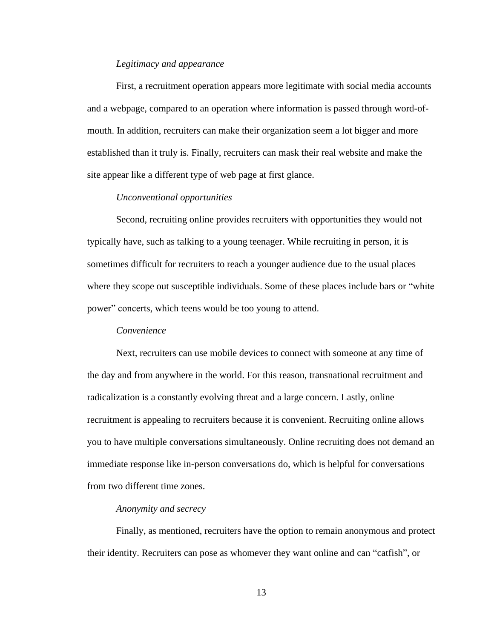#### *Legitimacy and appearance*

First, a recruitment operation appears more legitimate with social media accounts and a webpage, compared to an operation where information is passed through word-ofmouth. In addition, recruiters can make their organization seem a lot bigger and more established than it truly is. Finally, recruiters can mask their real website and make the site appear like a different type of web page at first glance.

#### *Unconventional opportunities*

Second, recruiting online provides recruiters with opportunities they would not typically have, such as talking to a young teenager. While recruiting in person, it is sometimes difficult for recruiters to reach a younger audience due to the usual places where they scope out susceptible individuals. Some of these places include bars or "white power" concerts, which teens would be too young to attend.

#### *Convenience*

Next, recruiters can use mobile devices to connect with someone at any time of the day and from anywhere in the world. For this reason, transnational recruitment and radicalization is a constantly evolving threat and a large concern. Lastly, online recruitment is appealing to recruiters because it is convenient. Recruiting online allows you to have multiple conversations simultaneously. Online recruiting does not demand an immediate response like in-person conversations do, which is helpful for conversations from two different time zones.

## *Anonymity and secrecy*

Finally, as mentioned, recruiters have the option to remain anonymous and protect their identity. Recruiters can pose as whomever they want online and can "catfish", or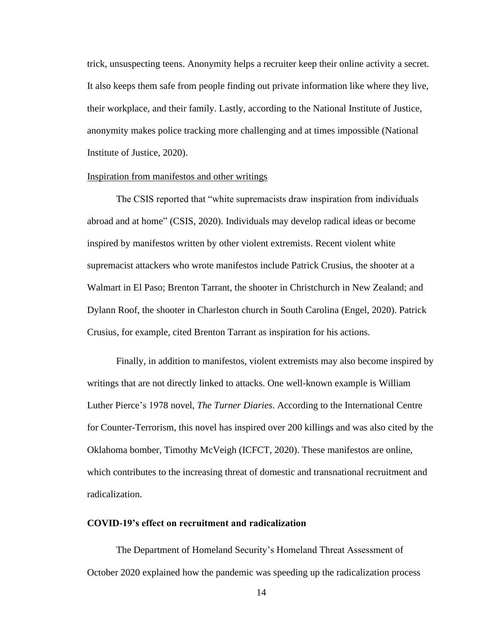trick, unsuspecting teens. Anonymity helps a recruiter keep their online activity a secret. It also keeps them safe from people finding out private information like where they live, their workplace, and their family. Lastly, according to the National Institute of Justice, anonymity makes police tracking more challenging and at times impossible (National Institute of Justice, 2020).

#### Inspiration from manifestos and other writings

The CSIS reported that "white supremacists draw inspiration from individuals abroad and at home" (CSIS, 2020). Individuals may develop radical ideas or become inspired by manifestos written by other violent extremists. Recent violent white supremacist attackers who wrote manifestos include Patrick Crusius, the shooter at a Walmart in El Paso; Brenton Tarrant, the shooter in Christchurch in New Zealand; and Dylann Roof, the shooter in Charleston church in South Carolina (Engel, 2020). Patrick Crusius, for example, cited Brenton Tarrant as inspiration for his actions.

Finally, in addition to manifestos, violent extremists may also become inspired by writings that are not directly linked to attacks. One well-known example is William Luther Pierce's 1978 novel, *The Turner Diaries*. According to the International Centre for Counter-Terrorism, this novel has inspired over 200 killings and was also cited by the Oklahoma bomber, Timothy McVeigh (ICFCT, 2020). These manifestos are online, which contributes to the increasing threat of domestic and transnational recruitment and radicalization.

#### **COVID-19's effect on recruitment and radicalization**

The Department of Homeland Security's Homeland Threat Assessment of October 2020 explained how the pandemic was speeding up the radicalization process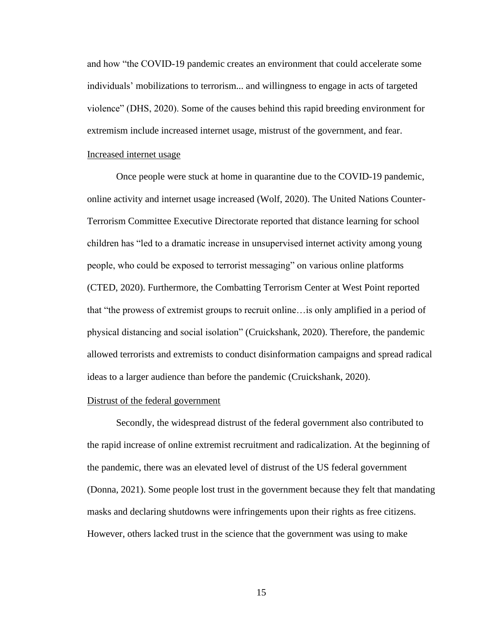and how "the COVID-19 pandemic creates an environment that could accelerate some individuals' mobilizations to terrorism... and willingness to engage in acts of targeted violence" (DHS, 2020). Some of the causes behind this rapid breeding environment for extremism include increased internet usage, mistrust of the government, and fear.

# Increased internet usage

Once people were stuck at home in quarantine due to the COVID-19 pandemic, online activity and internet usage increased (Wolf, 2020). The United Nations Counter-Terrorism Committee Executive Directorate reported that distance learning for school children has "led to a dramatic increase in unsupervised internet activity among young people, who could be exposed to terrorist messaging" on various online platforms (CTED, 2020). Furthermore, the Combatting Terrorism Center at West Point reported that "the prowess of extremist groups to recruit online…is only amplified in a period of physical distancing and social isolation" (Cruickshank, 2020). Therefore, the pandemic allowed terrorists and extremists to conduct disinformation campaigns and spread radical ideas to a larger audience than before the pandemic (Cruickshank, 2020).

## Distrust of the federal government

Secondly, the widespread distrust of the federal government also contributed to the rapid increase of online extremist recruitment and radicalization. At the beginning of the pandemic, there was an elevated level of distrust of the US federal government (Donna, 2021). Some people lost trust in the government because they felt that mandating masks and declaring shutdowns were infringements upon their rights as free citizens. However, others lacked trust in the science that the government was using to make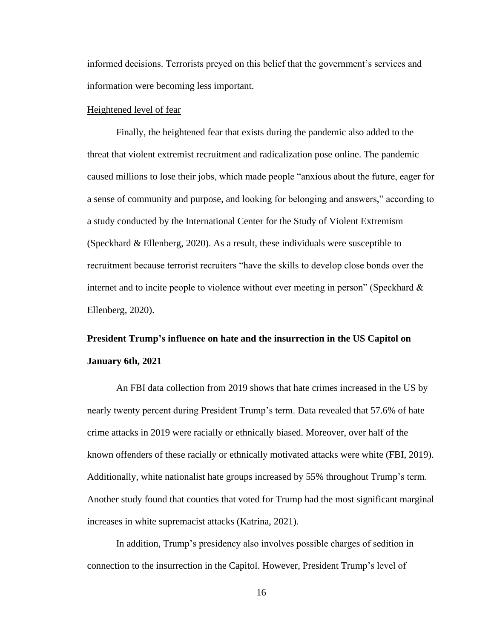informed decisions. Terrorists preyed on this belief that the government's services and information were becoming less important.

#### Heightened level of fear

Finally, the heightened fear that exists during the pandemic also added to the threat that violent extremist recruitment and radicalization pose online. The pandemic caused millions to lose their jobs, which made people "anxious about the future, eager for a sense of community and purpose, and looking for belonging and answers," according to a study conducted by the International Center for the Study of Violent Extremism (Speckhard & Ellenberg, 2020). As a result, these individuals were susceptible to recruitment because terrorist recruiters "have the skills to develop close bonds over the internet and to incite people to violence without ever meeting in person" (Speckhard & Ellenberg, 2020).

# **President Trump's influence on hate and the insurrection in the US Capitol on January 6th, 2021**

An FBI data collection from 2019 shows that hate crimes increased in the US by nearly twenty percent during President Trump's term. Data revealed that 57.6% of hate crime attacks in 2019 were racially or ethnically biased. Moreover, over half of the known offenders of these racially or ethnically motivated attacks were white (FBI, 2019). Additionally, white nationalist hate groups increased by 55% throughout Trump's term. Another study found that counties that voted for Trump had the most significant marginal increases in white supremacist attacks (Katrina, 2021).

In addition, Trump's presidency also involves possible charges of sedition in connection to the insurrection in the Capitol. However, President Trump's level of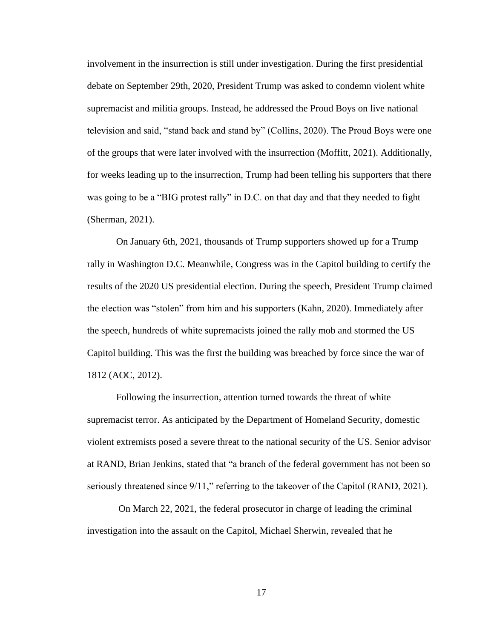involvement in the insurrection is still under investigation. During the first presidential debate on September 29th, 2020, President Trump was asked to condemn violent white supremacist and militia groups. Instead, he addressed the Proud Boys on live national television and said, "stand back and stand by" (Collins, 2020). The Proud Boys were one of the groups that were later involved with the insurrection (Moffitt, 2021). Additionally, for weeks leading up to the insurrection, Trump had been telling his supporters that there was going to be a "BIG protest rally" in D.C. on that day and that they needed to fight (Sherman, 2021).

On January 6th, 2021, thousands of Trump supporters showed up for a Trump rally in Washington D.C. Meanwhile, Congress was in the Capitol building to certify the results of the 2020 US presidential election. During the speech, President Trump claimed the election was "stolen" from him and his supporters (Kahn, 2020). Immediately after the speech, hundreds of white supremacists joined the rally mob and stormed the US Capitol building. This was the first the building was breached by force since the war of 1812 (AOC, 2012).

Following the insurrection, attention turned towards the threat of white supremacist terror. As anticipated by the Department of Homeland Security, domestic violent extremists posed a severe threat to the national security of the US. Senior advisor at RAND, Brian Jenkins, stated that "a branch of the federal government has not been so seriously threatened since  $9/11$ ," referring to the takeover of the Capitol (RAND, 2021).

On March 22, 2021, the federal prosecutor in charge of leading the criminal investigation into the assault on the Capitol, Michael Sherwin, revealed that he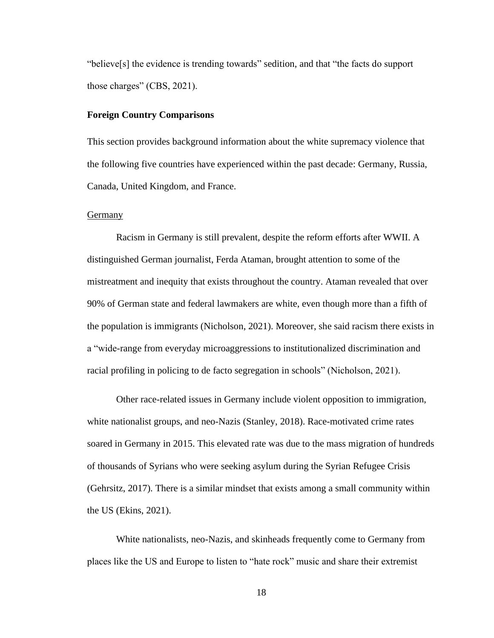"believe[s] the evidence is trending towards" sedition, and that "the facts do support those charges" (CBS, 2021).

## **Foreign Country Comparisons**

This section provides background information about the white supremacy violence that the following five countries have experienced within the past decade: Germany, Russia, Canada, United Kingdom, and France.

#### Germany

Racism in Germany is still prevalent, despite the reform efforts after WWII. A distinguished German journalist, Ferda Ataman, brought attention to some of the mistreatment and inequity that exists throughout the country. Ataman revealed that over 90% of German state and federal lawmakers are white, even though more than a fifth of the population is immigrants (Nicholson, 2021). Moreover, she said racism there exists in a "wide-range from everyday microaggressions to institutionalized discrimination and racial profiling in policing to de facto segregation in schools" (Nicholson, 2021).

Other race-related issues in Germany include violent opposition to immigration, white nationalist groups, and neo-Nazis (Stanley, 2018). Race-motivated crime rates soared in Germany in 2015. This elevated rate was due to the mass migration of hundreds of thousands of Syrians who were seeking asylum during the Syrian Refugee Crisis (Gehrsitz, 2017). There is a similar mindset that exists among a small community within the US (Ekins, 2021).

White nationalists, neo-Nazis, and skinheads frequently come to Germany from places like the US and Europe to listen to "hate rock" music and share their extremist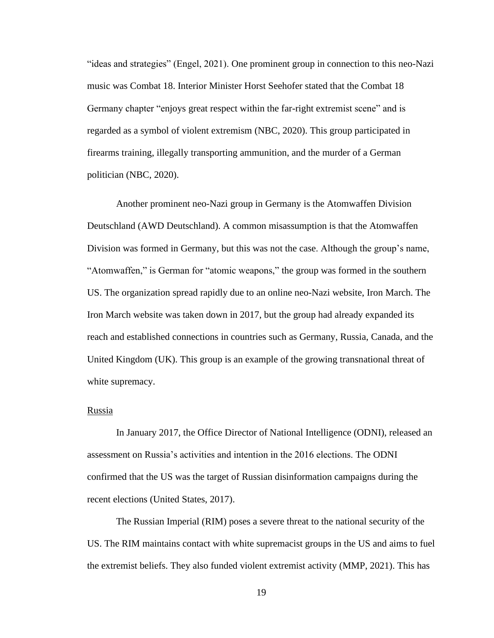"ideas and strategies" (Engel, 2021). One prominent group in connection to this neo-Nazi music was Combat 18. Interior Minister Horst Seehofer stated that the Combat 18 Germany chapter "enjoys great respect within the far-right extremist scene" and is regarded as a symbol of violent extremism (NBC, 2020). This group participated in firearms training, illegally transporting ammunition, and the murder of a German politician (NBC, 2020).

Another prominent neo-Nazi group in Germany is the Atomwaffen Division Deutschland (AWD Deutschland). A common misassumption is that the Atomwaffen Division was formed in Germany, but this was not the case. Although the group's name, "Atomwaffen," is German for "atomic weapons," the group was formed in the southern US. The organization spread rapidly due to an online neo-Nazi website, Iron March. The Iron March website was taken down in 2017, but the group had already expanded its reach and established connections in countries such as Germany, Russia, Canada, and the United Kingdom (UK). This group is an example of the growing transnational threat of white supremacy.

## Russia

In January 2017, the Office Director of National Intelligence (ODNI), released an assessment on Russia's activities and intention in the 2016 elections. The ODNI confirmed that the US was the target of Russian disinformation campaigns during the recent elections (United States, 2017).

The Russian Imperial (RIM) poses a severe threat to the national security of the US. The RIM maintains contact with white supremacist groups in the US and aims to fuel the extremist beliefs. They also funded violent extremist activity (MMP, 2021). This has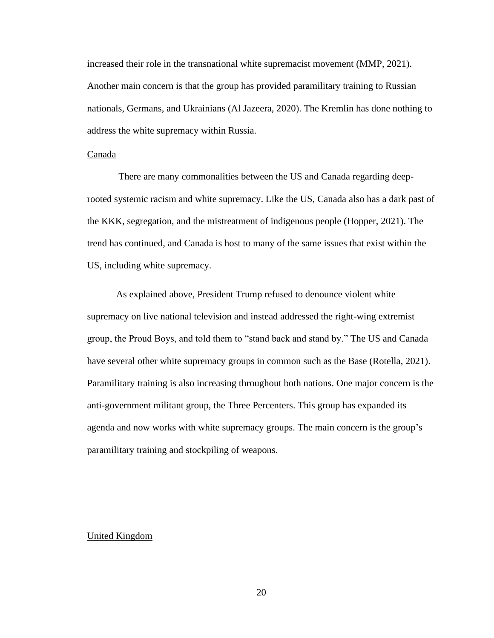increased their role in the transnational white supremacist movement (MMP, 2021). Another main concern is that the group has provided paramilitary training to Russian nationals, Germans, and Ukrainians (Al Jazeera, 2020). The Kremlin has done nothing to address the white supremacy within Russia.

# Canada

There are many commonalities between the US and Canada regarding deeprooted systemic racism and white supremacy. Like the US, Canada also has a dark past of the KKK, segregation, and the mistreatment of indigenous people (Hopper, 2021). The trend has continued, and Canada is host to many of the same issues that exist within the US, including white supremacy.

As explained above, President Trump refused to denounce violent white supremacy on live national television and instead addressed the right-wing extremist group, the Proud Boys, and told them to "stand back and stand by." The US and Canada have several other white supremacy groups in common such as the Base (Rotella, 2021). Paramilitary training is also increasing throughout both nations. One major concern is the anti-government militant group, the Three Percenters. This group has expanded its agenda and now works with white supremacy groups. The main concern is the group's paramilitary training and stockpiling of weapons.

# United Kingdom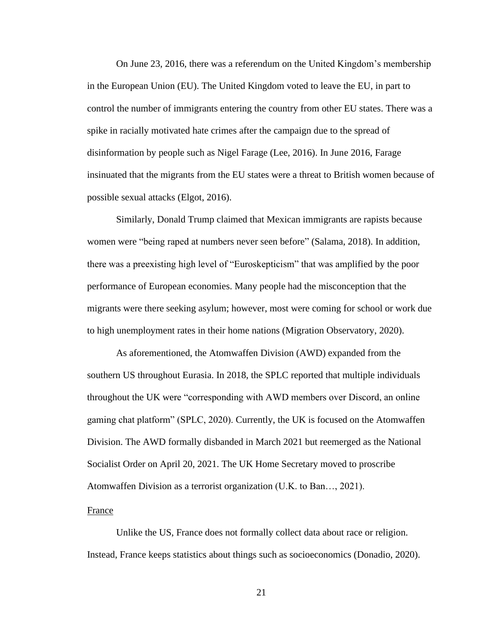On June 23, 2016, there was a referendum on the United Kingdom's membership in the European Union (EU). The United Kingdom voted to leave the EU, in part to control the number of immigrants entering the country from other EU states. There was a spike in racially motivated hate crimes after the campaign due to the spread of disinformation by people such as Nigel Farage (Lee, 2016). In June 2016, Farage insinuated that the migrants from the EU states were a threat to British women because of possible sexual attacks (Elgot, 2016).

Similarly, Donald Trump claimed that Mexican immigrants are rapists because women were "being raped at numbers never seen before" (Salama, 2018). In addition, there was a preexisting high level of "Euroskepticism" that was amplified by the poor performance of European economies. Many people had the misconception that the migrants were there seeking asylum; however, most were coming for school or work due to high unemployment rates in their home nations (Migration Observatory, 2020).

As aforementioned, the Atomwaffen Division (AWD) expanded from the southern US throughout Eurasia. In 2018, the SPLC reported that multiple individuals throughout the UK were "corresponding with AWD members over Discord, an online gaming chat platform" (SPLC, 2020). Currently, the UK is focused on the Atomwaffen Division. The AWD formally disbanded in March 2021 but reemerged as the National Socialist Order on April 20, 2021. The UK Home Secretary moved to proscribe Atomwaffen Division as a terrorist organization (U.K. to Ban…, 2021).

#### France

Unlike the US, France does not formally collect data about race or religion. Instead, France keeps statistics about things such as socioeconomics (Donadio, 2020).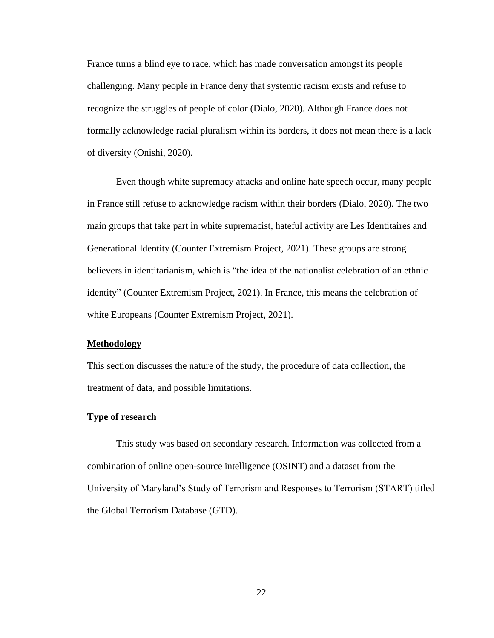France turns a blind eye to race, which has made conversation amongst its people challenging. Many people in France deny that systemic racism exists and refuse to recognize the struggles of people of color (Dialo, 2020). Although France does not formally acknowledge racial pluralism within its borders, it does not mean there is a lack of diversity (Onishi, 2020).

Even though white supremacy attacks and online hate speech occur, many people in France still refuse to acknowledge racism within their borders (Dialo, 2020). The two main groups that take part in white supremacist, hateful activity are Les Identitaires and Generational Identity (Counter Extremism Project, 2021). These groups are strong believers in identitarianism, which is "the idea of the nationalist celebration of an ethnic identity" (Counter Extremism Project, 2021). In France, this means the celebration of white Europeans (Counter Extremism Project, 2021).

#### **Methodology**

This section discusses the nature of the study, the procedure of data collection, the treatment of data, and possible limitations.

#### **Type of research**

This study was based on secondary research. Information was collected from a combination of online open-source intelligence (OSINT) and a dataset from the University of Maryland's Study of Terrorism and Responses to Terrorism (START) titled the Global Terrorism Database (GTD).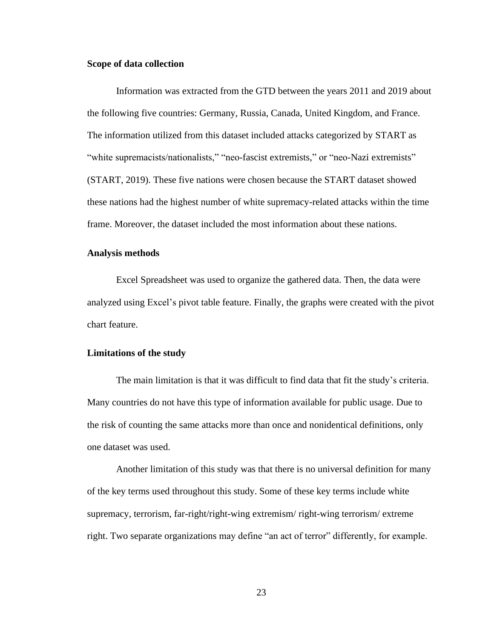## **Scope of data collection**

Information was extracted from the GTD between the years 2011 and 2019 about the following five countries: Germany, Russia, Canada, United Kingdom, and France. The information utilized from this dataset included attacks categorized by START as "white supremacists/nationalists," "neo-fascist extremists," or "neo-Nazi extremists" (START, 2019). These five nations were chosen because the START dataset showed these nations had the highest number of white supremacy-related attacks within the time frame. Moreover, the dataset included the most information about these nations.

#### **Analysis methods**

Excel Spreadsheet was used to organize the gathered data. Then, the data were analyzed using Excel's pivot table feature. Finally, the graphs were created with the pivot chart feature.

#### **Limitations of the study**

The main limitation is that it was difficult to find data that fit the study's criteria. Many countries do not have this type of information available for public usage. Due to the risk of counting the same attacks more than once and nonidentical definitions, only one dataset was used.

Another limitation of this study was that there is no universal definition for many of the key terms used throughout this study. Some of these key terms include white supremacy, terrorism, far-right/right-wing extremism/ right-wing terrorism/ extreme right. Two separate organizations may define "an act of terror" differently, for example.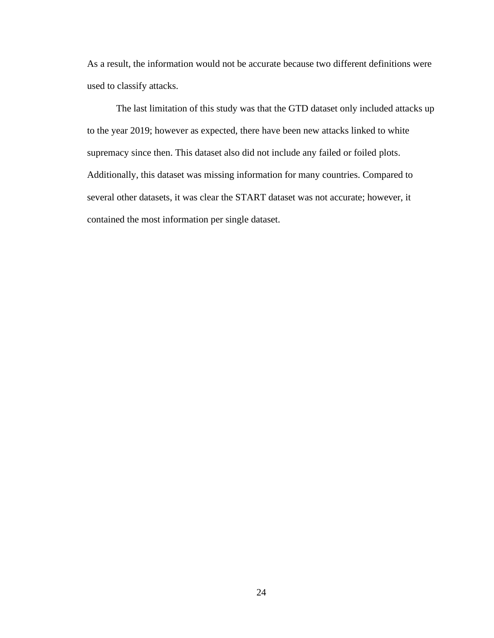As a result, the information would not be accurate because two different definitions were used to classify attacks.

The last limitation of this study was that the GTD dataset only included attacks up to the year 2019; however as expected, there have been new attacks linked to white supremacy since then. This dataset also did not include any failed or foiled plots. Additionally, this dataset was missing information for many countries. Compared to several other datasets, it was clear the START dataset was not accurate; however, it contained the most information per single dataset.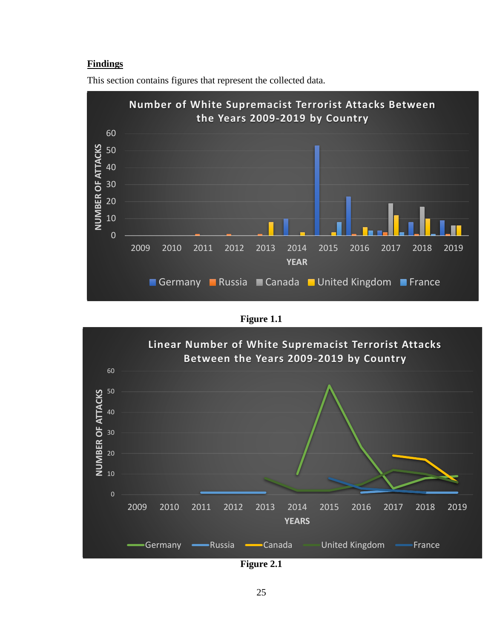# **Findings**



This section contains figures that represent the collected data.





**Figure 2.1**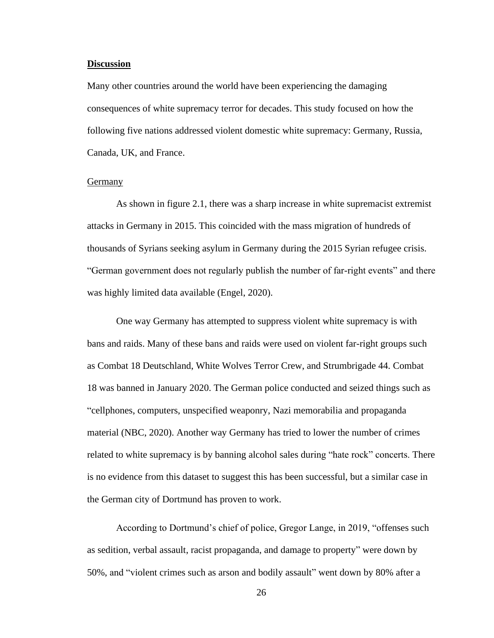#### **Discussion**

Many other countries around the world have been experiencing the damaging consequences of white supremacy terror for decades. This study focused on how the following five nations addressed violent domestic white supremacy: Germany, Russia, Canada, UK, and France.

#### **Germany**

As shown in figure 2.1, there was a sharp increase in white supremacist extremist attacks in Germany in 2015. This coincided with the mass migration of hundreds of thousands of Syrians seeking asylum in Germany during the 2015 Syrian refugee crisis. "German government does not regularly publish the number of far-right events" and there was highly limited data available (Engel, 2020).

One way Germany has attempted to suppress violent white supremacy is with bans and raids. Many of these bans and raids were used on violent far-right groups such as Combat 18 Deutschland, White Wolves Terror Crew, and Strumbrigade 44. Combat 18 was banned in January 2020. The German police conducted and seized things such as "cellphones, computers, unspecified weaponry, Nazi memorabilia and propaganda material (NBC, 2020). Another way Germany has tried to lower the number of crimes related to white supremacy is by banning alcohol sales during "hate rock" concerts. There is no evidence from this dataset to suggest this has been successful, but a similar case in the German city of Dortmund has proven to work.

According to Dortmund's chief of police, Gregor Lange, in 2019, "offenses such as sedition, verbal assault, racist propaganda, and damage to property" were down by 50%, and "violent crimes such as arson and bodily assault" went down by 80% after a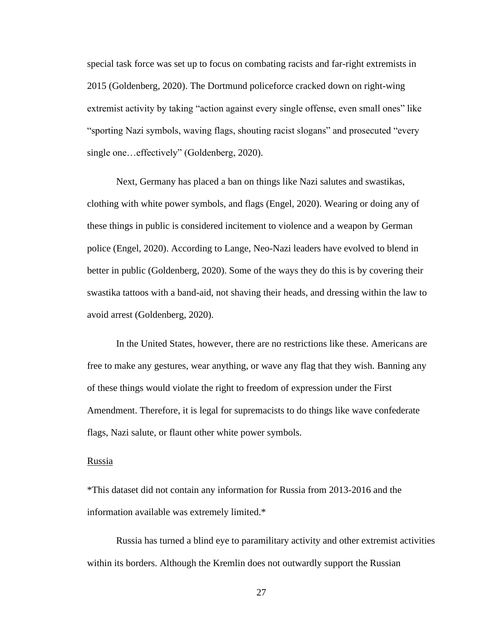special task force was set up to focus on combating racists and far-right extremists in 2015 (Goldenberg, 2020). The Dortmund policeforce cracked down on right-wing extremist activity by taking "action against every single offense, even small ones" like "sporting Nazi symbols, waving flags, shouting racist slogans" and prosecuted "every single one...effectively" (Goldenberg, 2020).

Next, Germany has placed a ban on things like Nazi salutes and swastikas, clothing with white power symbols, and flags (Engel, 2020). Wearing or doing any of these things in public is considered incitement to violence and a weapon by German police (Engel, 2020). According to Lange, Neo-Nazi leaders have evolved to blend in better in public (Goldenberg, 2020). Some of the ways they do this is by covering their swastika tattoos with a band-aid, not shaving their heads, and dressing within the law to avoid arrest (Goldenberg, 2020).

In the United States, however, there are no restrictions like these. Americans are free to make any gestures, wear anything, or wave any flag that they wish. Banning any of these things would violate the right to freedom of expression under the First Amendment. Therefore, it is legal for supremacists to do things like wave confederate flags, Nazi salute, or flaunt other white power symbols.

#### Russia

\*This dataset did not contain any information for Russia from 2013-2016 and the information available was extremely limited.\*

Russia has turned a blind eye to paramilitary activity and other extremist activities within its borders. Although the Kremlin does not outwardly support the Russian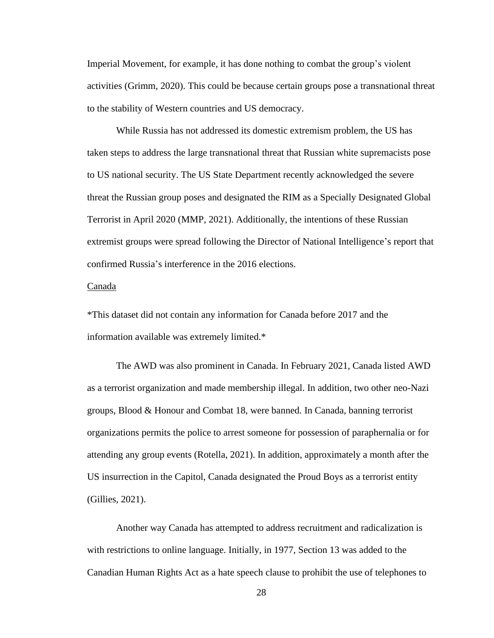Imperial Movement, for example, it has done nothing to combat the group's violent activities (Grimm, 2020). This could be because certain groups pose a transnational threat to the stability of Western countries and US democracy.

While Russia has not addressed its domestic extremism problem, the US has taken steps to address the large transnational threat that Russian white supremacists pose to US national security. The US State Department recently acknowledged the severe threat the Russian group poses and designated the RIM as a Specially Designated Global Terrorist in April 2020 (MMP, 2021). Additionally, the intentions of these Russian extremist groups were spread following the Director of National Intelligence's report that confirmed Russia's interference in the 2016 elections.

#### Canada

\*This dataset did not contain any information for Canada before 2017 and the information available was extremely limited.\*

The AWD was also prominent in Canada. In February 2021, Canada listed AWD as a terrorist organization and made membership illegal. In addition, two other neo-Nazi groups, Blood & Honour and Combat 18, were banned. In Canada, banning terrorist organizations permits the police to arrest someone for possession of paraphernalia or for attending any group events (Rotella, 2021). In addition, approximately a month after the US insurrection in the Capitol, Canada designated the Proud Boys as a terrorist entity (Gillies, 2021).

Another way Canada has attempted to address recruitment and radicalization is with restrictions to online language. Initially, in 1977, Section 13 was added to the Canadian Human Rights Act as a hate speech clause to prohibit the use of telephones to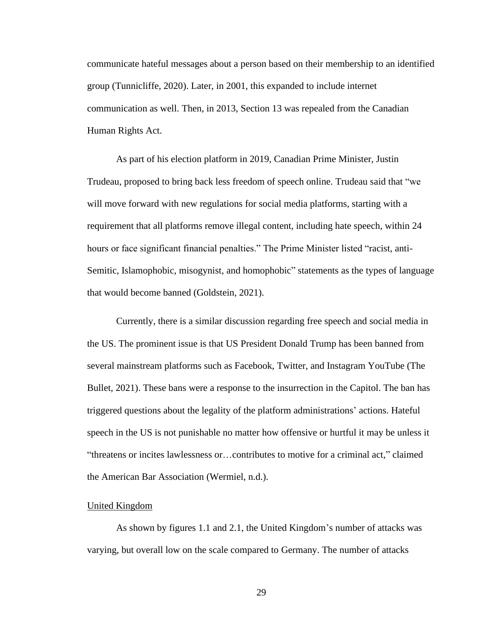communicate hateful messages about a person based on their membership to an identified group (Tunnicliffe, 2020). Later, in 2001, this expanded to include internet communication as well. Then, in 2013, Section 13 was repealed from the Canadian Human Rights Act.

As part of his election platform in 2019, Canadian Prime Minister, Justin Trudeau, proposed to bring back less freedom of speech online. Trudeau said that "we will move forward with new regulations for social media platforms, starting with a requirement that all platforms remove illegal content, including hate speech, within 24 hours or face significant financial penalties." The Prime Minister listed "racist, anti-Semitic, Islamophobic, misogynist, and homophobic" statements as the types of language that would become banned (Goldstein, 2021).

Currently, there is a similar discussion regarding free speech and social media in the US. The prominent issue is that US President Donald Trump has been banned from several mainstream platforms such as Facebook, Twitter, and Instagram YouTube (The Bullet, 2021). These bans were a response to the insurrection in the Capitol. The ban has triggered questions about the legality of the platform administrations' actions. Hateful speech in the US is not punishable no matter how offensive or hurtful it may be unless it "threatens or incites lawlessness or…contributes to motive for a criminal act," claimed the American Bar Association (Wermiel, n.d.).

#### United Kingdom

As shown by figures 1.1 and 2.1, the United Kingdom's number of attacks was varying, but overall low on the scale compared to Germany. The number of attacks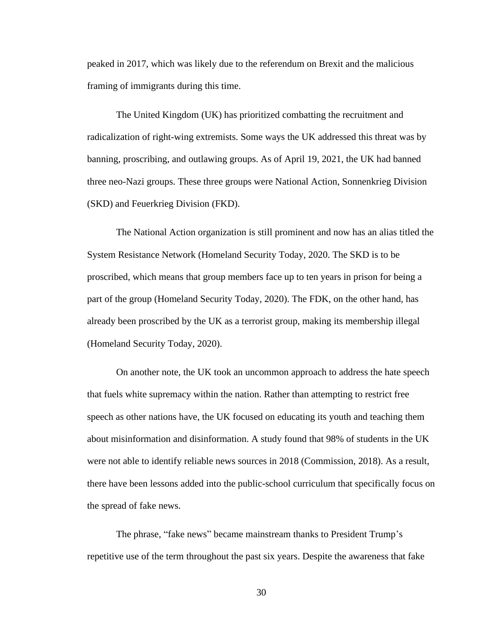peaked in 2017, which was likely due to the referendum on Brexit and the malicious framing of immigrants during this time.

The United Kingdom (UK) has prioritized combatting the recruitment and radicalization of right-wing extremists. Some ways the UK addressed this threat was by banning, proscribing, and outlawing groups. As of April 19, 2021, the UK had banned three neo-Nazi groups. These three groups were National Action, Sonnenkrieg Division (SKD) and Feuerkrieg Division (FKD).

The National Action organization is still prominent and now has an alias titled the System Resistance Network (Homeland Security Today, 2020. The SKD is to be proscribed, which means that group members face up to ten years in prison for being a part of the group (Homeland Security Today, 2020). The FDK, on the other hand, has already been proscribed by the UK as a terrorist group, making its membership illegal (Homeland Security Today, 2020).

On another note, the UK took an uncommon approach to address the hate speech that fuels white supremacy within the nation. Rather than attempting to restrict free speech as other nations have, the UK focused on educating its youth and teaching them about misinformation and disinformation. A study found that 98% of students in the UK were not able to identify reliable news sources in 2018 (Commission, 2018). As a result, there have been lessons added into the public-school curriculum that specifically focus on the spread of fake news.

The phrase, "fake news" became mainstream thanks to President Trump's repetitive use of the term throughout the past six years. Despite the awareness that fake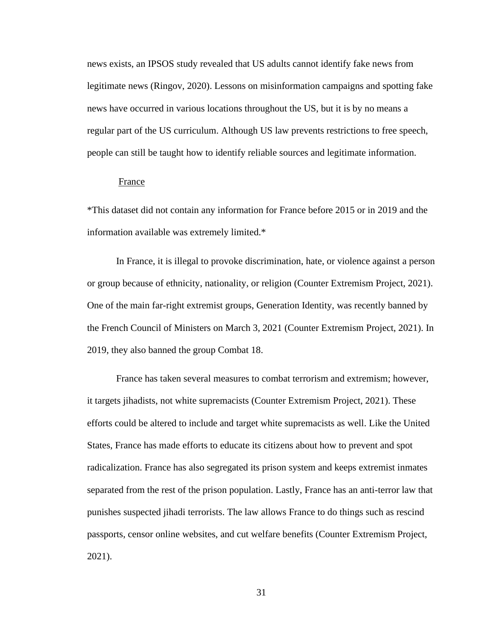news exists, an IPSOS study revealed that US adults cannot identify fake news from legitimate news (Ringov, 2020). Lessons on misinformation campaigns and spotting fake news have occurred in various locations throughout the US, but it is by no means a regular part of the US curriculum. Although US law prevents restrictions to free speech, people can still be taught how to identify reliable sources and legitimate information.

#### France

\*This dataset did not contain any information for France before 2015 or in 2019 and the information available was extremely limited.\*

In France, it is illegal to provoke discrimination, hate, or violence against a person or group because of ethnicity, nationality, or religion (Counter Extremism Project, 2021). One of the main far-right extremist groups, Generation Identity, was recently banned by the French Council of Ministers on March 3, 2021 (Counter Extremism Project, 2021). In 2019, they also banned the group Combat 18.

France has taken several measures to combat terrorism and extremism; however, it targets jihadists, not white supremacists (Counter Extremism Project, 2021). These efforts could be altered to include and target white supremacists as well. Like the United States, France has made efforts to educate its citizens about how to prevent and spot radicalization. France has also segregated its prison system and keeps extremist inmates separated from the rest of the prison population. Lastly, France has an anti-terror law that punishes suspected jihadi terrorists. The law allows France to do things such as rescind passports, censor online websites, and cut welfare benefits (Counter Extremism Project, 2021).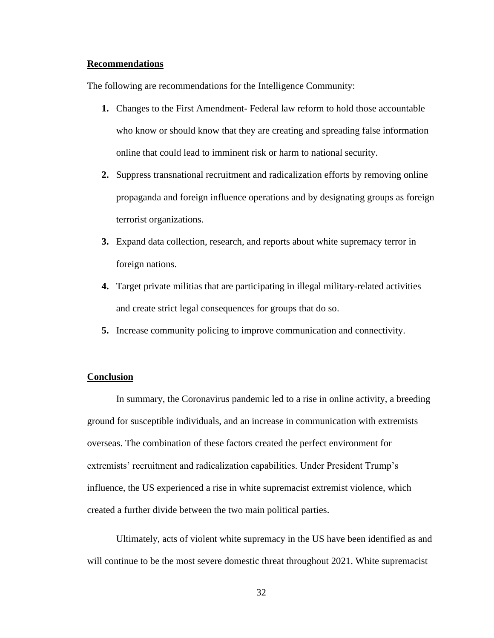#### **Recommendations**

The following are recommendations for the Intelligence Community:

- **1.** Changes to the First Amendment- Federal law reform to hold those accountable who know or should know that they are creating and spreading false information online that could lead to imminent risk or harm to national security.
- **2.** Suppress transnational recruitment and radicalization efforts by removing online propaganda and foreign influence operations and by designating groups as foreign terrorist organizations.
- **3.** Expand data collection, research, and reports about white supremacy terror in foreign nations.
- **4.** Target private militias that are participating in illegal military-related activities and create strict legal consequences for groups that do so.
- **5.** Increase community policing to improve communication and connectivity.

#### **Conclusion**

In summary, the Coronavirus pandemic led to a rise in online activity, a breeding ground for susceptible individuals, and an increase in communication with extremists overseas. The combination of these factors created the perfect environment for extremists' recruitment and radicalization capabilities. Under President Trump's influence, the US experienced a rise in white supremacist extremist violence, which created a further divide between the two main political parties.

Ultimately, acts of violent white supremacy in the US have been identified as and will continue to be the most severe domestic threat throughout 2021. White supremacist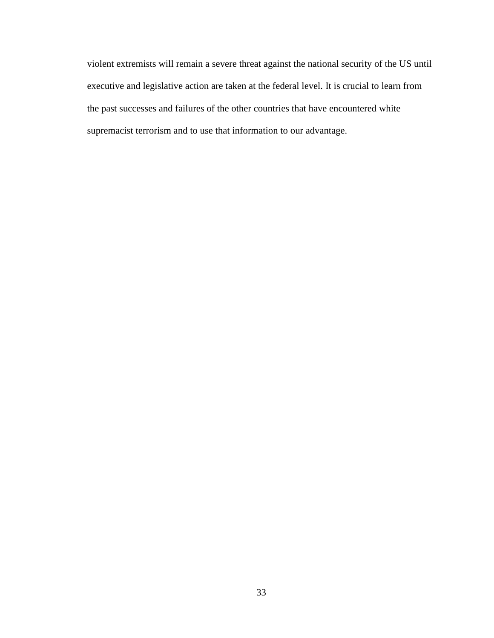violent extremists will remain a severe threat against the national security of the US until executive and legislative action are taken at the federal level. It is crucial to learn from the past successes and failures of the other countries that have encountered white supremacist terrorism and to use that information to our advantage.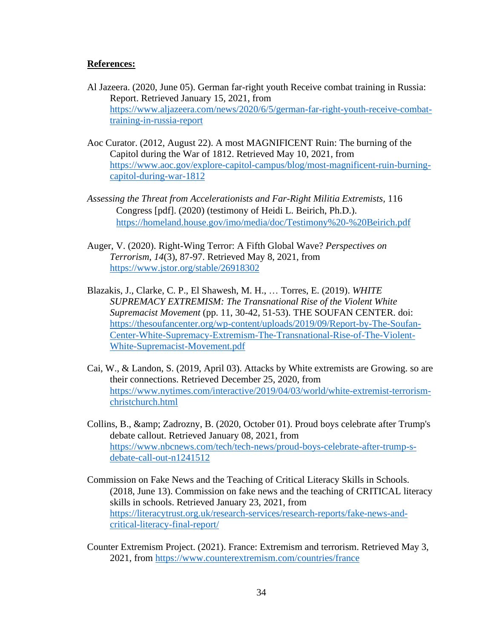## **References:**

- Al Jazeera. (2020, June 05). German far-right youth Receive combat training in Russia: Report. Retrieved January 15, 2021, from [https://www.aljazeera.com/news/2020/6/5/german-far-right-youth-receive-combat](https://www.aljazeera.com/news/2020/6/5/german-far-right-youth-receive-combat-training-in-russia-report)[training-in-russia-report](https://www.aljazeera.com/news/2020/6/5/german-far-right-youth-receive-combat-training-in-russia-report)
- Aoc Curator. (2012, August 22). A most MAGNIFICENT Ruin: The burning of the Capitol during the War of 1812. Retrieved May 10, 2021, from [https://www.aoc.gov/explore-capitol-campus/blog/most-magnificent-ruin-burning](https://www.aoc.gov/explore-capitol-campus/blog/most-magnificent-ruin-burning-capitol-during-war-1812)[capitol-during-war-1812](https://www.aoc.gov/explore-capitol-campus/blog/most-magnificent-ruin-burning-capitol-during-war-1812)
- *Assessing the Threat from Accelerationists and Far-Right Militia Extremists,* 116 Congress [pdf]. (2020) (testimony of Heidi L. Beirich, Ph.D.). <https://homeland.house.gov/imo/media/doc/Testimony%20-%20Beirich.pdf>
- Auger, V. (2020). Right-Wing Terror: A Fifth Global Wave? *Perspectives on Terrorism, 14*(3), 87-97. Retrieved May 8, 2021, from <https://www.jstor.org/stable/26918302>
- Blazakis, J., Clarke, C. P., El Shawesh, M. H., … Torres, E. (2019). *WHITE SUPREMACY EXTREMISM: The Transnational Rise of the Violent White Supremacist Movement* (pp. 11, 30-42, 51-53). THE SOUFAN CENTER. doi: [https://thesoufancenter.org/wp-content/uploads/2019/09/Report-by-The-Soufan-](https://thesoufancenter.org/wp-content/uploads/2019/09/Report-by-The-Soufan-Center-White-Supremacy-Extremism-The-Transnational-Rise-of-The-Violent-White-Supremacist-Movement.pdf)[Center-White-Supremacy-Extremism-The-Transnational-Rise-of-The-Violent-](https://thesoufancenter.org/wp-content/uploads/2019/09/Report-by-The-Soufan-Center-White-Supremacy-Extremism-The-Transnational-Rise-of-The-Violent-White-Supremacist-Movement.pdf)[White-Supremacist-Movement.pdf](https://thesoufancenter.org/wp-content/uploads/2019/09/Report-by-The-Soufan-Center-White-Supremacy-Extremism-The-Transnational-Rise-of-The-Violent-White-Supremacist-Movement.pdf)
- Cai, W., & Landon, S. (2019, April 03). Attacks by White extremists are Growing. so are their connections. Retrieved December 25, 2020, from [https://www.nytimes.com/interactive/2019/04/03/world/white-extremist-terrorism](https://www.nytimes.com/interactive/2019/04/03/world/white-extremist-terrorism-christchurch.html)[christchurch.html](https://www.nytimes.com/interactive/2019/04/03/world/white-extremist-terrorism-christchurch.html)
- Collins, B., & amp; Zadrozny, B. (2020, October 01). Proud boys celebrate after Trump's debate callout. Retrieved January 08, 2021, from [https://www.nbcnews.com/tech/tech-news/proud-boys-celebrate-after-trump-s](https://www.nbcnews.com/tech/tech-news/proud-boys-celebrate-after-trump-s-debate-call-out-n1241512)[debate-call-out-n1241512](https://www.nbcnews.com/tech/tech-news/proud-boys-celebrate-after-trump-s-debate-call-out-n1241512)
- Commission on Fake News and the Teaching of Critical Literacy Skills in Schools. (2018, June 13). Commission on fake news and the teaching of CRITICAL literacy skills in schools. Retrieved January 23, 2021, from [https://literacytrust.org.uk/research-services/research-reports/fake-news-and](https://literacytrust.org.uk/research-services/research-reports/fake-news-and-critical-literacy-final-report/)[critical-literacy-final-report/](https://literacytrust.org.uk/research-services/research-reports/fake-news-and-critical-literacy-final-report/)
- Counter Extremism Project. (2021). France: Extremism and terrorism. Retrieved May 3, 2021, from<https://www.counterextremism.com/countries/france>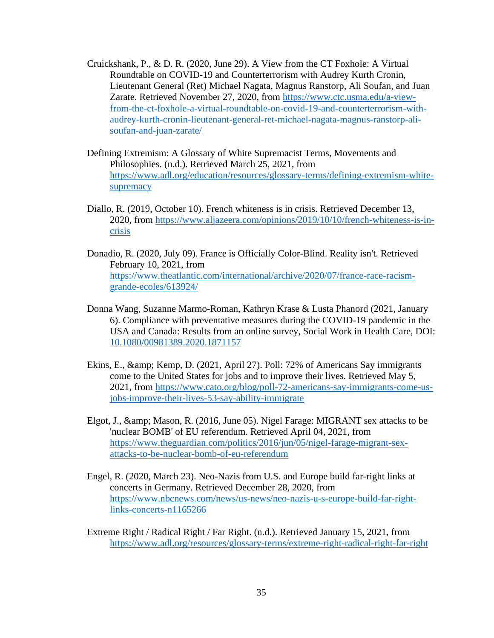- Cruickshank, P., & D. R. (2020, June 29). A View from the CT Foxhole: A Virtual Roundtable on COVID-19 and Counterterrorism with Audrey Kurth Cronin, Lieutenant General (Ret) Michael Nagata, Magnus Ranstorp, Ali Soufan, and Juan Zarate. Retrieved November 27, 2020, from [https://www.ctc.usma.edu/a-view](https://www.ctc.usma.edu/a-view-from-the-ct-foxhole-a-virtual-roundtable-on-covid-19-and-counterterrorism-with-audrey-kurth-cronin-lieutenant-general-ret-michael-nagata-magnus-ranstorp-ali-soufan-and-juan-zarate/)[from-the-ct-foxhole-a-virtual-roundtable-on-covid-19-and-counterterrorism-with](https://www.ctc.usma.edu/a-view-from-the-ct-foxhole-a-virtual-roundtable-on-covid-19-and-counterterrorism-with-audrey-kurth-cronin-lieutenant-general-ret-michael-nagata-magnus-ranstorp-ali-soufan-and-juan-zarate/)[audrey-kurth-cronin-lieutenant-general-ret-michael-nagata-magnus-ranstorp-ali](https://www.ctc.usma.edu/a-view-from-the-ct-foxhole-a-virtual-roundtable-on-covid-19-and-counterterrorism-with-audrey-kurth-cronin-lieutenant-general-ret-michael-nagata-magnus-ranstorp-ali-soufan-and-juan-zarate/)[soufan-and-juan-zarate/](https://www.ctc.usma.edu/a-view-from-the-ct-foxhole-a-virtual-roundtable-on-covid-19-and-counterterrorism-with-audrey-kurth-cronin-lieutenant-general-ret-michael-nagata-magnus-ranstorp-ali-soufan-and-juan-zarate/)
- Defining Extremism: A Glossary of White Supremacist Terms, Movements and Philosophies. (n.d.). Retrieved March 25, 2021, from [https://www.adl.org/education/resources/glossary-terms/defining-extremism-white](https://www.adl.org/education/resources/glossary-terms/defining-extremism-white-supremacy)[supremacy](https://www.adl.org/education/resources/glossary-terms/defining-extremism-white-supremacy)
- Diallo, R. (2019, October 10). French whiteness is in crisis. Retrieved December 13, 2020, from [https://www.aljazeera.com/opinions/2019/10/10/french-whiteness-is-in](https://www.aljazeera.com/opinions/2019/10/10/french-whiteness-is-in-crisis)[crisis](https://www.aljazeera.com/opinions/2019/10/10/french-whiteness-is-in-crisis)
- Donadio, R. (2020, July 09). France is Officially Color-Blind. Reality isn't. Retrieved February 10, 2021, from [https://www.theatlantic.com/international/archive/2020/07/france-race-racism](https://www.theatlantic.com/international/archive/2020/07/france-race-racism-grande-ecoles/613924/)[grande-ecoles/613924/](https://www.theatlantic.com/international/archive/2020/07/france-race-racism-grande-ecoles/613924/)
- Donna Wang, Suzanne Marmo-Roman, Kathryn Krase & Lusta Phanord (2021, January 6). Compliance with preventative measures during the COVID-19 pandemic in the USA and Canada: Results from an online survey, Social Work in Health Care, DOI: [10.1080/00981389.2020.1871157](https://www.tandfonline.com/doi/full/10.1080/00981389.2020.1871157)
- Ekins, E., & amp; Kemp, D. (2021, April 27). Poll: 72% of Americans Say immigrants come to the United States for jobs and to improve their lives. Retrieved May 5, 2021, from [https://www.cato.org/blog/poll-72-americans-say-immigrants-come-us](https://www.cato.org/blog/poll-72-americans-say-immigrants-come-us-jobs-improve-their-lives-53-say-ability-immigrate)[jobs-improve-their-lives-53-say-ability-immigrate](https://www.cato.org/blog/poll-72-americans-say-immigrants-come-us-jobs-improve-their-lives-53-say-ability-immigrate)
- Elgot, J., & amp; Mason, R. (2016, June 05). Nigel Farage: MIGRANT sex attacks to be 'nuclear BOMB' of EU referendum. Retrieved April 04, 2021, from [https://www.theguardian.com/politics/2016/jun/05/nigel-farage-migrant-sex](https://www.theguardian.com/politics/2016/jun/05/nigel-farage-migrant-sex-attacks-to-be-nuclear-bomb-of-eu-referendum)[attacks-to-be-nuclear-bomb-of-eu-referendum](https://www.theguardian.com/politics/2016/jun/05/nigel-farage-migrant-sex-attacks-to-be-nuclear-bomb-of-eu-referendum)
- Engel, R. (2020, March 23). Neo-Nazis from U.S. and Europe build far-right links at concerts in Germany. Retrieved December 28, 2020, from [https://www.nbcnews.com/news/us-news/neo-nazis-u-s-europe-build-far-right](https://www.nbcnews.com/news/us-news/neo-nazis-u-s-europe-build-far-right-links-concerts-n1165266)[links-concerts-n1165266](https://www.nbcnews.com/news/us-news/neo-nazis-u-s-europe-build-far-right-links-concerts-n1165266)
- Extreme Right / Radical Right / Far Right. (n.d.). Retrieved January 15, 2021, from <https://www.adl.org/resources/glossary-terms/extreme-right-radical-right-far-right>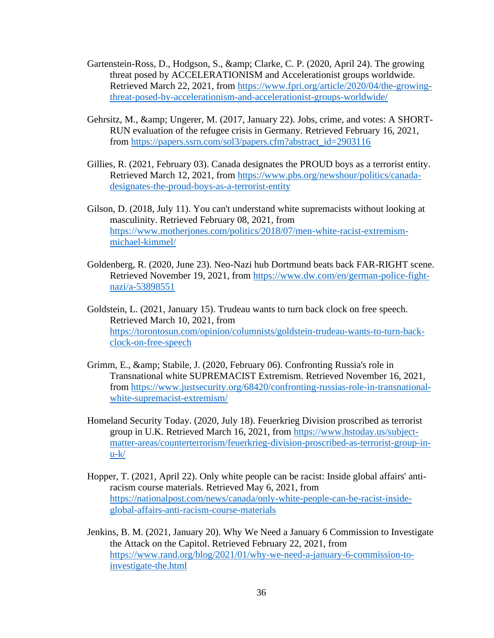- Gartenstein-Ross, D., Hodgson, S., & amp; Clarke, C. P. (2020, April 24). The growing threat posed by ACCELERATIONISM and Accelerationist groups worldwide. Retrieved March 22, 2021, from [https://www.fpri.org/article/2020/04/the-growing](https://www.fpri.org/article/2020/04/the-growing-threat-posed-by-accelerationism-and-accelerationist-groups-worldwide/)[threat-posed-by-accelerationism-and-accelerationist-groups-worldwide/](https://www.fpri.org/article/2020/04/the-growing-threat-posed-by-accelerationism-and-accelerationist-groups-worldwide/)
- Gehrsitz, M., & amp; Ungerer, M. (2017, January 22). Jobs, crime, and votes: A SHORT-RUN evaluation of the refugee crisis in Germany. Retrieved February 16, 2021, from [https://papers.ssrn.com/sol3/papers.cfm?abstract\\_id=2903116](https://papers.ssrn.com/sol3/papers.cfm?abstract_id=2903116)
- Gillies, R. (2021, February 03). Canada designates the PROUD boys as a terrorist entity. Retrieved March 12, 2021, from [https://www.pbs.org/newshour/politics/canada](https://www.pbs.org/newshour/politics/canada-designates-the-proud-boys-as-a-terrorist-entity)[designates-the-proud-boys-as-a-terrorist-entity](https://www.pbs.org/newshour/politics/canada-designates-the-proud-boys-as-a-terrorist-entity)
- Gilson, D. (2018, July 11). You can't understand white supremacists without looking at masculinity. Retrieved February 08, 2021, from [https://www.motherjones.com/politics/2018/07/men-white-racist-extremism](https://www.motherjones.com/politics/2018/07/men-white-racist-extremism-michael-kimmel/)[michael-kimmel/](https://www.motherjones.com/politics/2018/07/men-white-racist-extremism-michael-kimmel/)
- Goldenberg, R. (2020, June 23). Neo-Nazi hub Dortmund beats back FAR-RIGHT scene. Retrieved November 19, 2021, from [https://www.dw.com/en/german-police-fight](https://www.dw.com/en/german-police-fight-nazi/a-53898551)[nazi/a-53898551](https://www.dw.com/en/german-police-fight-nazi/a-53898551)
- Goldstein, L. (2021, January 15). Trudeau wants to turn back clock on free speech. Retrieved March 10, 2021, from [https://torontosun.com/opinion/columnists/goldstein-trudeau-wants-to-turn-back](https://torontosun.com/opinion/columnists/goldstein-trudeau-wants-to-turn-back-clock-on-free-speech)[clock-on-free-speech](https://torontosun.com/opinion/columnists/goldstein-trudeau-wants-to-turn-back-clock-on-free-speech)
- Grimm, E., & amp; Stabile, J. (2020, February 06). Confronting Russia's role in Transnational white SUPREMACIST Extremism. Retrieved November 16, 2021, from [https://www.justsecurity.org/68420/confronting-russias-role-in-transnational](https://www.justsecurity.org/68420/confronting-russias-role-in-transnational-white-supremacist-extremism/)[white-supremacist-extremism/](https://www.justsecurity.org/68420/confronting-russias-role-in-transnational-white-supremacist-extremism/)
- Homeland Security Today. (2020, July 18). Feuerkrieg Division proscribed as terrorist group in U.K. Retrieved March 16, 2021, from [https://www.hstoday.us/subject](https://www.hstoday.us/subject-matter-areas/counterterrorism/feuerkrieg-division-proscribed-as-terrorist-group-in-u-k/)[matter-areas/counterterrorism/feuerkrieg-division-proscribed-as-terrorist-group-in](https://www.hstoday.us/subject-matter-areas/counterterrorism/feuerkrieg-division-proscribed-as-terrorist-group-in-u-k/)[u-k/](https://www.hstoday.us/subject-matter-areas/counterterrorism/feuerkrieg-division-proscribed-as-terrorist-group-in-u-k/)
- Hopper, T. (2021, April 22). Only white people can be racist: Inside global affairs' antiracism course materials. Retrieved May 6, 2021, from [https://nationalpost.com/news/canada/only-white-people-can-be-racist-inside](https://nationalpost.com/news/canada/only-white-people-can-be-racist-inside-global-affairs-anti-racism-course-materials)[global-affairs-anti-racism-course-materials](https://nationalpost.com/news/canada/only-white-people-can-be-racist-inside-global-affairs-anti-racism-course-materials)
- Jenkins, B. M. (2021, January 20). Why We Need a January 6 Commission to Investigate the Attack on the Capitol. Retrieved February 22, 2021, from [https://www.rand.org/blog/2021/01/why-we-need-a-january-6-commission-to](https://www.rand.org/blog/2021/01/why-we-need-a-january-6-commission-to-investigate-the.html)[investigate-the.html](https://www.rand.org/blog/2021/01/why-we-need-a-january-6-commission-to-investigate-the.html)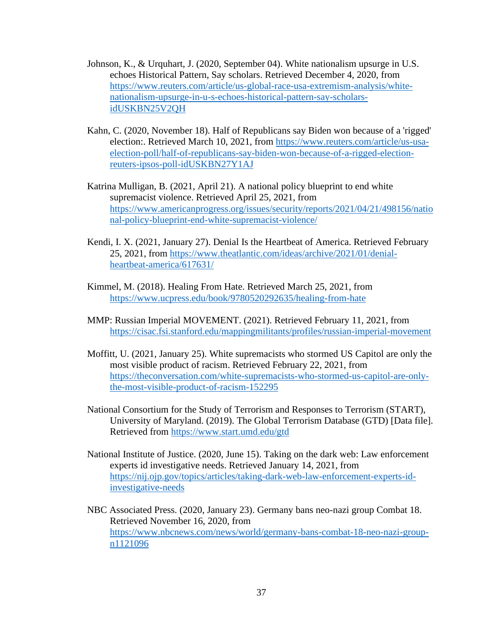- Johnson, K., & Urquhart, J. (2020, September 04). White nationalism upsurge in U.S. echoes Historical Pattern, Say scholars. Retrieved December 4, 2020, from [https://www.reuters.com/article/us-global-race-usa-extremism-analysis/white](https://www.reuters.com/article/us-global-race-usa-extremism-analysis/white-nationalism-upsurge-in-u-s-echoes-historical-pattern-say-scholars-idUSKBN25V2QH)[nationalism-upsurge-in-u-s-echoes-historical-pattern-say-scholars](https://www.reuters.com/article/us-global-race-usa-extremism-analysis/white-nationalism-upsurge-in-u-s-echoes-historical-pattern-say-scholars-idUSKBN25V2QH)[idUSKBN25V2QH](https://www.reuters.com/article/us-global-race-usa-extremism-analysis/white-nationalism-upsurge-in-u-s-echoes-historical-pattern-say-scholars-idUSKBN25V2QH)
- Kahn, C. (2020, November 18). Half of Republicans say Biden won because of a 'rigged' election:. Retrieved March 10, 2021, from [https://www.reuters.com/article/us-usa](https://www.reuters.com/article/us-usa-election-poll/half-of-republicans-say-biden-won-because-of-a-rigged-election-reuters-ipsos-poll-idUSKBN27Y1AJ)[election-poll/half-of-republicans-say-biden-won-because-of-a-rigged-election](https://www.reuters.com/article/us-usa-election-poll/half-of-republicans-say-biden-won-because-of-a-rigged-election-reuters-ipsos-poll-idUSKBN27Y1AJ)[reuters-ipsos-poll-idUSKBN27Y1AJ](https://www.reuters.com/article/us-usa-election-poll/half-of-republicans-say-biden-won-because-of-a-rigged-election-reuters-ipsos-poll-idUSKBN27Y1AJ)
- Katrina Mulligan, B. (2021, April 21). A national policy blueprint to end white supremacist violence. Retrieved April 25, 2021, from [https://www.americanprogress.org/issues/security/reports/2021/04/21/498156/natio](https://www.americanprogress.org/issues/security/reports/2021/04/21/498156/national-policy-blueprint-end-white-supremacist-violence/) [nal-policy-blueprint-end-white-supremacist-violence/](https://www.americanprogress.org/issues/security/reports/2021/04/21/498156/national-policy-blueprint-end-white-supremacist-violence/)
- Kendi, I. X. (2021, January 27). Denial Is the Heartbeat of America. Retrieved February 25, 2021, from [https://www.theatlantic.com/ideas/archive/2021/01/denial](https://www.theatlantic.com/ideas/archive/2021/01/denial-heartbeat-america/617631/)[heartbeat-america/617631/](https://www.theatlantic.com/ideas/archive/2021/01/denial-heartbeat-america/617631/)
- Kimmel, M. (2018). Healing From Hate. Retrieved March 25, 2021, from <https://www.ucpress.edu/book/9780520292635/healing-from-hate>
- MMP: Russian Imperial MOVEMENT. (2021). Retrieved February 11, 2021, from <https://cisac.fsi.stanford.edu/mappingmilitants/profiles/russian-imperial-movement>
- Moffitt, U. (2021, January 25). White supremacists who stormed US Capitol are only the most visible product of racism. Retrieved February 22, 2021, from [https://theconversation.com/white-supremacists-who-stormed-us-capitol-are-only](https://theconversation.com/white-supremacists-who-stormed-us-capitol-are-only-the-most-visible-product-of-racism-152295)[the-most-visible-product-of-racism-152295](https://theconversation.com/white-supremacists-who-stormed-us-capitol-are-only-the-most-visible-product-of-racism-152295)
- National Consortium for the Study of Terrorism and Responses to Terrorism (START), University of Maryland. (2019). The Global Terrorism Database (GTD) [Data file]. Retrieved from<https://www.start.umd.edu/gtd>
- National Institute of Justice. (2020, June 15). Taking on the dark web: Law enforcement experts id investigative needs. Retrieved January 14, 2021, from [https://nij.ojp.gov/topics/articles/taking-dark-web-law-enforcement-experts-id](https://nij.ojp.gov/topics/articles/taking-dark-web-law-enforcement-experts-id-investigative-needs)[investigative-needs](https://nij.ojp.gov/topics/articles/taking-dark-web-law-enforcement-experts-id-investigative-needs)
- NBC Associated Press. (2020, January 23). Germany bans neo-nazi group Combat 18. Retrieved November 16, 2020, from [https://www.nbcnews.com/news/world/germany-bans-combat-18-neo-nazi-group](https://www.nbcnews.com/news/world/germany-bans-combat-18-neo-nazi-group-n1121096)[n1121096](https://www.nbcnews.com/news/world/germany-bans-combat-18-neo-nazi-group-n1121096)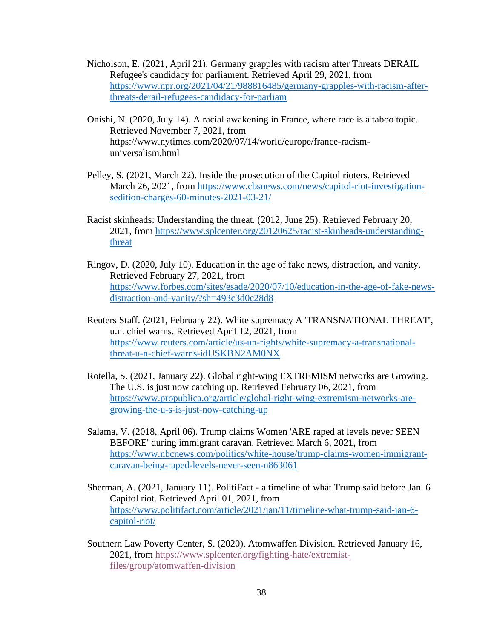- Nicholson, E. (2021, April 21). Germany grapples with racism after Threats DERAIL Refugee's candidacy for parliament. Retrieved April 29, 2021, from [https://www.npr.org/2021/04/21/988816485/germany-grapples-with-racism-after](https://www.npr.org/2021/04/21/988816485/germany-grapples-with-racism-after-threats-derail-refugees-candidacy-for-parliam)[threats-derail-refugees-candidacy-for-parliam](https://www.npr.org/2021/04/21/988816485/germany-grapples-with-racism-after-threats-derail-refugees-candidacy-for-parliam)
- Onishi, N. (2020, July 14). A racial awakening in France, where race is a taboo topic. Retrieved November 7, 2021, from https://www.nytimes.com/2020/07/14/world/europe/france-racismuniversalism.html
- Pelley, S. (2021, March 22). Inside the prosecution of the Capitol rioters. Retrieved March 26, 2021, from [https://www.cbsnews.com/news/capitol-riot-investigation](https://www.cbsnews.com/news/capitol-riot-investigation-sedition-charges-60-minutes-2021-03-21/)[sedition-charges-60-minutes-2021-03-21/](https://www.cbsnews.com/news/capitol-riot-investigation-sedition-charges-60-minutes-2021-03-21/)
- Racist skinheads: Understanding the threat. (2012, June 25). Retrieved February 20, 2021, from [https://www.splcenter.org/20120625/racist-skinheads-understanding](https://www.splcenter.org/20120625/racist-skinheads-understanding-threat)[threat](https://www.splcenter.org/20120625/racist-skinheads-understanding-threat)
- Ringov, D. (2020, July 10). Education in the age of fake news, distraction, and vanity. Retrieved February 27, 2021, from [https://www.forbes.com/sites/esade/2020/07/10/education-in-the-age-of-fake-news](https://www.forbes.com/sites/esade/2020/07/10/education-in-the-age-of-fake-news-distraction-and-vanity/?sh=493c3d0c28d8)[distraction-and-vanity/?sh=493c3d0c28d8](https://www.forbes.com/sites/esade/2020/07/10/education-in-the-age-of-fake-news-distraction-and-vanity/?sh=493c3d0c28d8)
- Reuters Staff. (2021, February 22). White supremacy A 'TRANSNATIONAL THREAT', u.n. chief warns. Retrieved April 12, 2021, from [https://www.reuters.com/article/us-un-rights/white-supremacy-a-transnational](https://www.reuters.com/article/us-un-rights/white-supremacy-a-transnational-threat-u-n-chief-warns-idUSKBN2AM0NX)[threat-u-n-chief-warns-idUSKBN2AM0NX](https://www.reuters.com/article/us-un-rights/white-supremacy-a-transnational-threat-u-n-chief-warns-idUSKBN2AM0NX)
- Rotella, S. (2021, January 22). Global right-wing EXTREMISM networks are Growing. The U.S. is just now catching up. Retrieved February 06, 2021, from [https://www.propublica.org/article/global-right-wing-extremism-networks-are](https://www.propublica.org/article/global-right-wing-extremism-networks-are-growing-the-u-s-is-just-now-catching-up)[growing-the-u-s-is-just-now-catching-up](https://www.propublica.org/article/global-right-wing-extremism-networks-are-growing-the-u-s-is-just-now-catching-up)
- Salama, V. (2018, April 06). Trump claims Women 'ARE raped at levels never SEEN BEFORE' during immigrant caravan. Retrieved March 6, 2021, from [https://www.nbcnews.com/politics/white-house/trump-claims-women-immigrant](https://www.nbcnews.com/politics/white-house/trump-claims-women-immigrant-caravan-being-raped-levels-never-seen-n863061)[caravan-being-raped-levels-never-seen-n863061](https://www.nbcnews.com/politics/white-house/trump-claims-women-immigrant-caravan-being-raped-levels-never-seen-n863061)
- Sherman, A. (2021, January 11). PolitiFact a timeline of what Trump said before Jan. 6 Capitol riot. Retrieved April 01, 2021, from [https://www.politifact.com/article/2021/jan/11/timeline-what-trump-said-jan-6](https://www.politifact.com/article/2021/jan/11/timeline-what-trump-said-jan-6-capitol-riot/) [capitol-riot/](https://www.politifact.com/article/2021/jan/11/timeline-what-trump-said-jan-6-capitol-riot/)
- Southern Law Poverty Center, S. (2020). Atomwaffen Division. Retrieved January 16, 2021, from [https://www.splcenter.org/fighting-hate/extremist](https://www.splcenter.org/fighting-hate/extremist-files/group/atomwaffen-division)[files/group/atomwaffen-division](https://www.splcenter.org/fighting-hate/extremist-files/group/atomwaffen-division)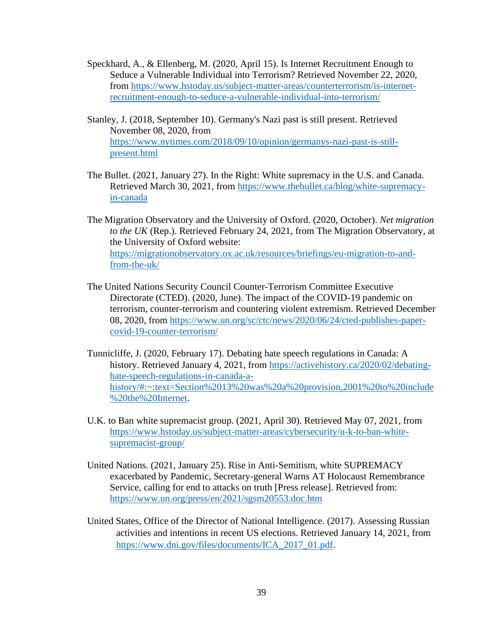- Speckhard, A., & Ellenberg, M. (2020, April 15). Is Internet Recruitment Enough to Seduce a Vulnerable Individual into Terrorism? Retrieved November 22, 2020, from [https://www.hstoday.us/subject-matter-areas/counterterrorism/is-internet](https://www.hstoday.us/subject-matter-areas/counterterrorism/is-internet-recruitment-enough-to-seduce-a-vulnerable-individual-into-terrorism/)[recruitment-enough-to-seduce-a-vulnerable-individual-into-terrorism/](https://www.hstoday.us/subject-matter-areas/counterterrorism/is-internet-recruitment-enough-to-seduce-a-vulnerable-individual-into-terrorism/)
- Stanley, J. (2018, September 10). Germany's Nazi past is still present. Retrieved November 08, 2020, from [https://www.nytimes.com/2018/09/10/opinion/germanys-nazi-past-is-still](https://www.nytimes.com/2018/09/10/opinion/germanys-nazi-past-is-still-present.html)[present.html](https://www.nytimes.com/2018/09/10/opinion/germanys-nazi-past-is-still-present.html)
- The Bullet. (2021, January 27). In the Right: White supremacy in the U.S. and Canada. Retrieved March 30, 2021, from [https://www.thebullet.ca/blog/white-supremacy](https://www.thebullet.ca/blog/white-supremacy-in-canada)[in-canada](https://www.thebullet.ca/blog/white-supremacy-in-canada)
- The Migration Observatory and the University of Oxford. (2020, October). *Net migration to the UK* (Rep.). Retrieved February 24, 2021, from The Migration Observatory, at the University of Oxford website: [https://migrationobservatory.ox.ac.uk/resources/briefings/eu-migration-to-and](https://migrationobservatory.ox.ac.uk/resources/briefings/eu-migration-to-and-from-the-uk/)[from-the-uk/](https://migrationobservatory.ox.ac.uk/resources/briefings/eu-migration-to-and-from-the-uk/)
- The United Nations Security Council Counter-Terrorism Committee Executive Directorate (CTED). (2020, June). The impact of the COVID-19 pandemic on terrorism, counter-terrorism and countering violent extremism. Retrieved December 08, 2020, from [https://www.un.org/sc/ctc/news/2020/06/24/cted-publishes-paper](https://www.un.org/sc/ctc/news/2020/06/24/cted-publishes-paper-covid-19-counter-terrorism/)[covid-19-counter-terrorism/](https://www.un.org/sc/ctc/news/2020/06/24/cted-publishes-paper-covid-19-counter-terrorism/)
- Tunnicliffe, J. (2020, February 17). Debating hate speech regulations in Canada: A history. Retrieved January 4, 2021, from [https://activehistory.ca/2020/02/debating](https://activehistory.ca/2020/02/debating-hate-speech-regulations-in-canada-a-history/#:~:text=Section%2013%20was%20a%20provision,2001%20to%20include%20the%20Internet)[hate-speech-regulations-in-canada-a](https://activehistory.ca/2020/02/debating-hate-speech-regulations-in-canada-a-history/#:~:text=Section%2013%20was%20a%20provision,2001%20to%20include%20the%20Internet)[history/#:~:text=Section%2013%20was%20a%20provision,2001%20to%20include](https://activehistory.ca/2020/02/debating-hate-speech-regulations-in-canada-a-history/#:~:text=Section%2013%20was%20a%20provision,2001%20to%20include%20the%20Internet) [%20the%20Internet.](https://activehistory.ca/2020/02/debating-hate-speech-regulations-in-canada-a-history/#:~:text=Section%2013%20was%20a%20provision,2001%20to%20include%20the%20Internet)
- U.K. to Ban white supremacist group. (2021, April 30). Retrieved May 07, 2021, from [https://www.hstoday.us/subject-matter-areas/cybersecurity/u-k-to-ban-white](https://www.hstoday.us/subject-matter-areas/cybersecurity/u-k-to-ban-white-supremacist-group/)[supremacist-group/](https://www.hstoday.us/subject-matter-areas/cybersecurity/u-k-to-ban-white-supremacist-group/)
- United Nations. (2021, January 25). Rise in Anti-Semitism, white SUPREMACY exacerbated by Pandemic, Secretary-general Warns AT Holocaust Remembrance Service, calling for end to attacks on truth [Press release]. Retrieved from: <https://www.un.org/press/en/2021/sgsm20553.doc.htm>
- United States, Office of the Director of National Intelligence. (2017). Assessing Russian activities and intentions in recent US elections. Retrieved January 14, 2021, from [https://www.dni.gov/files/documents/ICA\\_2017\\_01.pdf.](https://www.dni.gov/files/documents/ICA_2017_01.pdf)